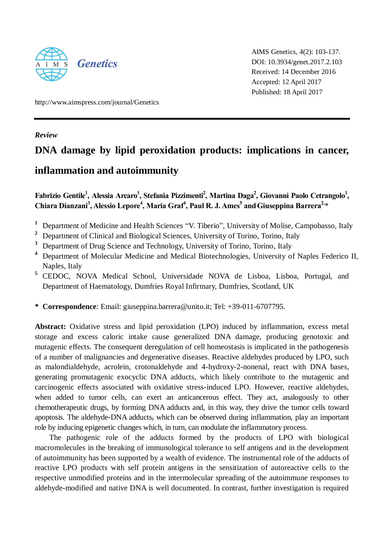

AIMS Genetics, 4(2): 103-137. DOI: 10.3934/genet.2017.2.103 Received: 14 December 2016 Accepted: 12 April 2017 Published: 18 April 2017

http://www.aimspress.com/journal/Genetics

*Review*

# **DNA damage by lipid peroxidation products: implications in cancer,**

# **inflammation and autoimmunity**

Fabrizio Gentile<sup>1</sup>, Alessia Arcaro<sup>1</sup>, Stefania Pizzimenti<sup>2</sup>, Martina Daga<sup>2</sup>, Giovanni Paolo Cetrangolo<sup>1</sup>, **Chiara Dianzani<sup>3</sup> , Alessio Lepore<sup>4</sup> , Maria Graf<sup>4</sup> , Paul R. J. Ames<sup>5</sup> andGiuseppina Barrera2, \***

- <sup>1</sup> Department of Medicine and Health Sciences "V. Tiberio", University of Molise, Campobasso, Italy
- <sup>2</sup> Department of Clinical and Biological Sciences, University of Torino, Torino, Italy
- **<sup>3</sup>** Department of Drug Science and Technology, University of Torino, Torino, Italy
- **<sup>4</sup>** Department of Molecular Medicine and Medical Biotechnologies, University of Naples Federico II, Naples, Italy
- **<sup>5</sup>** CEDOC, NOVA Medical School, Universidade NOVA de Lisboa, Lisboa, Portugal, and Department of Haematology, Dumfries Royal Infirmary, Dumfries, Scotland, UK
- **\* Correspondence**: Email: giuseppina.barrera@unito.it; Tel: +39-011-6707795.

**Abstract:** Oxidative stress and lipid peroxidation (LPO) induced by inflammation, excess metal storage and excess caloric intake cause generalized DNA damage, producing genotoxic and mutagenic effects. The consequent deregulation of cell homeostasis is implicated in the pathogenesis of a number of malignancies and degenerative diseases. Reactive aldehydes produced by LPO, such as malondialdehyde, acrolein, crotonaldehyde and 4-hydroxy-2-nonenal, react with DNA bases, generating promutagenic exocyclic DNA adducts, which likely contribute to the mutagenic and carcinogenic effects associated with oxidative stress-induced LPO. However, reactive aldehydes, when added to tumor cells, can exert an anticancerous effect. They act, analogously to other chemotherapeutic drugs, by forming DNA adducts and, in this way, they drive the tumor cells toward apoptosis. The aldehyde-DNA adducts, which can be observed during inflammation, play an important role by inducing epigenetic changes which, in turn, can modulate the inflammatory process.

The pathogenic role of the adducts formed by the products of LPO with biological macromolecules in the breaking of immunological tolerance to self antigens and in the development of autoimmunity has been supported by a wealth of evidence. The instrumental role of the adducts of reactive LPO products with self protein antigens in the sensitization of autoreactive cells to the respective unmodified proteins and in the intermolecular spreading of the autoimmune responses to aldehyde-modified and native DNA is well documented. In contrast, further investigation is required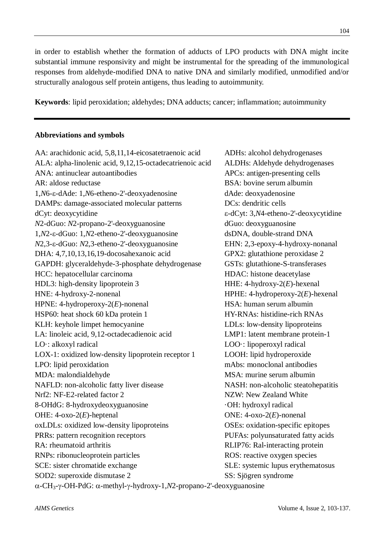in order to establish whether the formation of adducts of LPO products with DNA might incite substantial immune responsivity and might be instrumental for the spreading of the immunological responses from aldehyde-modified DNA to native DNA and similarly modified, unmodified and/or structurally analogous self protein antigens, thus leading to autoimmunity.

**Keywords**: lipid peroxidation; aldehydes; DNA adducts; cancer; inflammation; autoimmunity

## **Abbreviations and symbols**

AA: arachidonic acid, 5,8,11,14-eicosatetraenoic acid ADHs: alcohol dehydrogenases ALA: alpha-linolenic acid, 9,12,15-octadecatrienoic acid ALDHs: Aldehyde dehydrogenases ANA: antinuclear autoantibodies APCs: antigen-presenting cells AR: aldose reductase BSA: bovine serum albumin 1,*N*6- $\varepsilon$ -dAde: 1,*N*6-etheno-2'-deoxyadenosine dAde: deoxyadenosine DAMPs: damage-associated molecular patterns DCs: dendritic cells dCyt: deoxycytidine  $\epsilon$ -dCyt: 3,*N*4-etheno-2'-deoxycytidine *N*2-dGuo: *N*2-propano-2'-deoxyguanosine dGuo: deoxyguanosine 1,*N*2--dGuo: 1,*N*2-etheno-2'-deoxyguanosine dsDNA, double-strand DNA *N*2,3- $\varepsilon$ -dGuo: *N*2,3-etheno-2'-deoxyguanosine EHN: 2,3-epoxy-4-hydroxy-nonanal DHA: 4,7,10,13,16,19-docosahexanoic acid GPX2: glutathione peroxidase 2 GAPDH: glyceraldehyde-3-phosphate dehydrogenase GSTs: glutathione-S-transferases HCC: hepatocellular carcinoma HDAC: histone deacetylase HDL3: high-density lipoprotein 3 HHE: 4-hydroxy-2(*E*)-hexenal HNE: 4-hydroxy-2-nonenal HPHE: 4-hydroperoxy-2(*E*)-hexenal HPNE: 4-hydroperoxy-2(*E*)-nonenal HSA: human serum albumin HSP60: heat shock 60 kDa protein 1 HY-RNAs: histidine-rich RNAs KLH: keyhole limpet hemocyanine LDLs: low-density lipoproteins LA: linoleic acid, 9,12-octadecadienoic acid LMP1: latent membrane protein-1 LOO: alkoxyl radical LOO: lipoperoxyl radical LOX-1: oxidized low-density lipoprotein receptor 1 LOOH: lipid hydroperoxide LPO: lipid peroxidation mAbs: monoclonal antibodies MDA: malondialdehyde MSA: murine serum albumin NAFLD: non-alcoholic fatty liver disease NASH: non-alcoholic steatohepatitis Nrf2: NF-E2-related factor 2 NZW: New Zealand White 8-OHdG: 8-hydroxydeoxyguanosine ·OH: hydroxyl radical OHE: 4-oxo-2(*E*)-heptenal ONE: 4-oxo-2(*E*)-nonenal oxLDLs: oxidized low-density lipoproteins OSEs: oxidation-specific epitopes PRRs: pattern recognition receptors PUFAs: polyunsaturated fatty acids RA: rheumatoid arthritis RLIP76: Ral-interacting protein RNPs: ribonucleoprotein particles ROS: reactive oxygen species SCE: sister chromatide exchange SLE: systemic lupus erythematosus SOD2: superoxide dismutase 2 SS: Sjögren syndrome

 $\alpha$ -CH<sub>3</sub>- $\gamma$ -OH-PdG:  $\alpha$ -methyl- $\gamma$ -hydroxy-1,*N*2-propano-2'-deoxyguanosine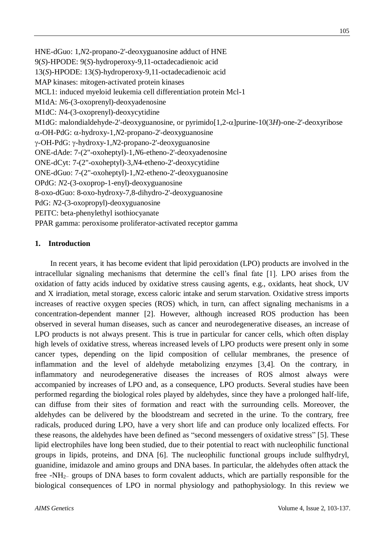HNE-dGuo: 1,*N*2-propano-2'-deoxyguanosine adduct of HNE 9(*S*)-HPODE: 9(*S*)-hydroperoxy-9,11-octadecadienoic acid 13(*S*)-HPODE: 13(*S*)-hydroperoxy-9,11-octadecadienoic acid MAP kinases: mitogen-activated protein kinases MCL1: induced myeloid leukemia cell differentiation protein Mcl-1 M1dA: *N*6-(3-oxoprenyl)-deoxyadenosine M1dC: *N*4-(3-oxoprenyl)-deoxycytidine M1dG: malondialdehyde-2'-deoxyguanosine, or pyrimido $[1,2-\alpha]$ purine-10(3*H*)-one-2'-deoxyribose  $\alpha$ -OH-PdG:  $\alpha$ -hydroxy-1,*N*2-propano-2'-deoxyguanosine  $\gamma$ -OH-PdG:  $\gamma$ -hydroxy-1,*N*2-propano-2'-deoxyguanosine ONE-dAde: 7-(2"-oxoheptyl)-1,*N*6-etheno-2'-deoxyadenosine ONE-dCyt: 7-(2"-oxoheptyl)-3,*N*4-etheno-2'-deoxycytidine ONE-dGuo: 7-(2"-oxoheptyl)-1,*N*2-etheno-2'-deoxyguanosine OPdG: *N*2-(3-oxoprop-1-enyl)-deoxyguanosine 8-oxo-dGuo: 8-oxo-hydroxy-7,8-dihydro-2'-deoxyguanosine PdG: *N*2-(3-oxopropyl)-deoxyguanosine PEITC: beta-phenylethyl isothiocyanate

PPAR gamma: peroxisome proliferator-activated receptor gamma

# **1. Introduction**

In recent years, it has become evident that lipid peroxidation (LPO) products are involved in the intracellular signaling mechanisms that determine the cell's final fate [1]. LPO arises from the oxidation of fatty acids induced by oxidative stress causing agents, e.g., oxidants, heat shock, UV and X irradiation, metal storage, excess caloric intake and serum starvation. Oxidative stress imports increases of reactive oxygen species (ROS) which, in turn, can affect signaling mechanisms in a concentration-dependent manner [2]. However, although increased ROS production has been observed in several human diseases, such as cancer and neurodegenerative diseases, an increase of LPO products is not always present. This is true in particular for cancer cells, which often display high levels of oxidative stress, whereas increased levels of LPO products were present only in some cancer types, depending on the lipid composition of cellular membranes, the presence of inflammation and the level of aldehyde metabolizing enzymes [3,4]. On the contrary, in inflammatory and neurodegenerative diseases the increases of ROS almost always were accompanied by increases of LPO and, as a consequence, LPO products. Several studies have been performed regarding the biological roles played by aldehydes, since they have a prolonged half-life, can diffuse from their sites of formation and react with the surrounding cells. Moreover, the aldehydes can be delivered by the bloodstream and secreted in the urine. To the contrary, free radicals, produced during LPO, have a very short life and can produce only localized effects. For these reasons, the aldehydes have been defined as "second messengers of oxidative stress" [5]. These lipid electrophiles have long been studied, due to their potential to react with nucleophilic functional groups in lipids, proteins, and DNA [6]. The nucleophilic functional groups include sulfhydryl, guanidine, imidazole and amino groups and DNA bases. In particular, the aldehydes often attack the free -NH2− groups of DNA bases to form covalent adducts, which are partially responsible for the biological consequences of LPO in normal physiology and pathophysiology. In this review we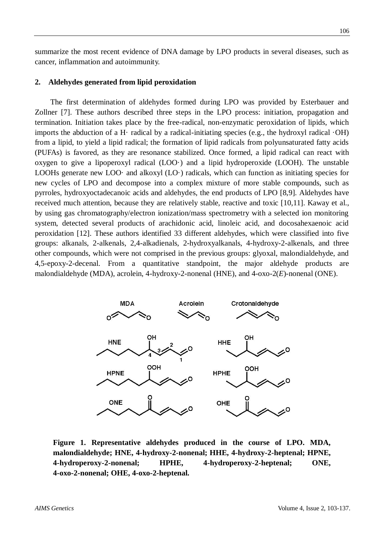summarize the most recent evidence of DNA damage by LPO products in several diseases, such as cancer, inflammation and autoimmunity.

## **2. Aldehydes generated from lipid peroxidation**

The first determination of aldehydes formed during LPO was provided by Esterbauer and Zollner [7]. These authors described three steps in the LPO process: initiation, propagation and termination. Initiation takes place by the free-radical, non-enzymatic peroxidation of lipids, which imports the abduction of a H· radical by a radical-initiating species (e.g., the hydroxyl radical  $\cdot$ OH) from a lipid, to yield a lipid radical; the formation of lipid radicals from polyunsaturated fatty acids (PUFAs) is favored, as they are resonance stabilized. Once formed, a lipid radical can react with oxygen to give a lipoperoxyl radical (LOO·) and a lipid hydroperoxide (LOOH). The unstable LOOHs generate new LOO· and alkoxyl  $(LO)$  radicals, which can function as initiating species for new cycles of LPO and decompose into a complex mixture of more stable compounds, such as pyrroles, hydroxyoctadecanoic acids and aldehydes, the end products of LPO [8,9]. Aldehydes have received much attention, because they are relatively stable, reactive and toxic [10,11]. Kaway et al., by using gas chromatography/electron ionization/mass spectrometry with a selected ion monitoring system, detected several products of arachidonic acid, linoleic acid, and docosahexaenoic acid peroxidation [12]. These authors identified 33 different aldehydes, which were classified into five groups: alkanals, 2-alkenals, 2,4-alkadienals, 2-hydroxyalkanals, 4-hydroxy-2-alkenals, and three other compounds, which were not comprised in the previous groups: glyoxal, malondialdehyde, and 4,5-epoxy-2-decenal. From a quantitative standpoint, the major aldehyde products are malondialdehyde (MDA), acrolein, 4-hydroxy-2-nonenal (HNE), and 4-oxo-2(*E*)-nonenal (ONE).



**Figure 1. Representative aldehydes produced in the course of LPO. MDA, malondialdehyde; HNE, 4-hydroxy-2-nonenal; HHE, 4-hydroxy-2-heptenal; HPNE, 4-hydroperoxy-2-nonenal; HPHE, 4-hydroperoxy-2-heptenal; ONE, 4-oxo-2-nonenal; OHE, 4-oxo-2-heptenal.**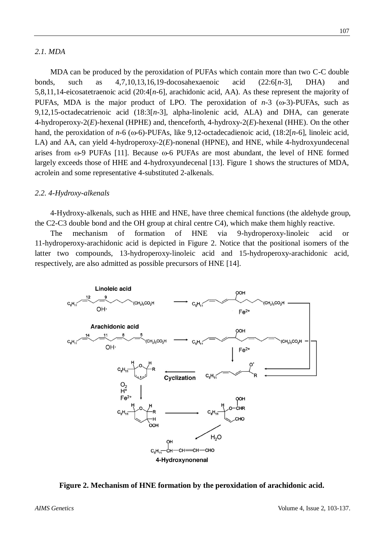## *2.1. MDA*

MDA can be produced by the peroxidation of PUFAs which contain more than two C-C double bonds, such as 4,7,10,13,16,19-docosahexaenoic acid (22:6[*n*-3], DHA) and 5,8,11,14-eicosatetraenoic acid (20:4[*n*-6], arachidonic acid, AA). As these represent the majority of PUFAs, MDA is the major product of LPO. The peroxidation of  $n-3$  ( $\omega$ -3)-PUFAs, such as 9,12,15-octadecatrienoic acid (18:3[*n*-3], alpha-linolenic acid, ALA) and DHA, can generate 4-hydroperoxy-2(*E*)-hexenal (HPHE) and, thenceforth, 4-hydroxy-2(*E*)-hexenal (HHE). On the other hand, the peroxidation of  $n-6$  ( $\omega$ -6)-PUFAs, like 9,12-octadecadienoic acid, (18:2[ $n-6$ ], linoleic acid, LA) and AA, can yield 4-hydroperoxy-2(*E*)-nonenal (HPNE), and HNE, while 4-hydroxyundecenal arises from  $\omega$ -9 PUFAs [11]. Because  $\omega$ -6 PUFAs are most abundant, the level of HNE formed largely exceeds those of HHE and 4-hydroxyundecenal [13]. Figure 1 shows the structures of MDA, acrolein and some representative 4-substituted 2-alkenals.

## *2.2. 4-Hydroxy-alkenals*

4-Hydroxy-alkenals, such as HHE and HNE, have three chemical functions (the aldehyde group, the C2-C3 double bond and the OH group at chiral centre C4), which make them highly reactive.

The mechanism of formation of HNE via 9-hydroperoxy-linoleic acid or 11-hydroperoxy-arachidonic acid is depicted in Figure 2. Notice that the positional isomers of the latter two compounds, 13-hydroperoxy-linoleic acid and 15-hydroperoxy-arachidonic acid, respectively, are also admitted as possible precursors of HNE [14].



**Figure 2. Mechanism of HNE formation by the peroxidation of arachidonic acid.**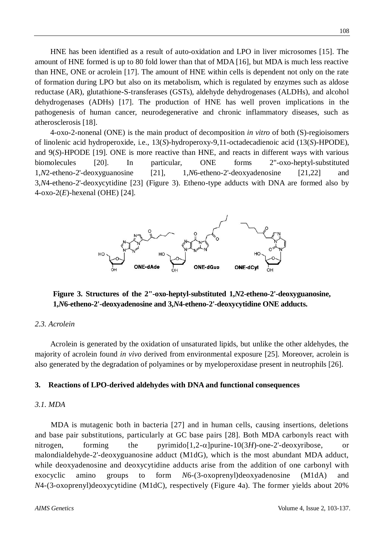HNE has been identified as a result of auto-oxidation and LPO in liver microsomes [15]. The amount of HNE formed is up to 80 fold lower than that of MDA [16], but MDA is much less reactive than HNE, ONE or acrolein [17]. The amount of HNE within cells is dependent not only on the rate of formation during LPO but also on its metabolism, which is regulated by enzymes such as aldose reductase (AR), glutathione-S-transferases (GSTs), aldehyde dehydrogenases (ALDHs), and alcohol dehydrogenases (ADHs) [17]. The production of HNE has well proven implications in the pathogenesis of human cancer, neurodegenerative and chronic inflammatory diseases, such as atherosclerosis [18].

4-oxo-2-nonenal (ONE) is the main product of decomposition *in vitro* of both (S)-regioisomers of linolenic acid hydroperoxide, i.e., 13(*S*)-hydroperoxy-9,11-octadecadienoic acid (13(*S*)-HPODE), and 9(*S*)-HPODE [19]. ONE is more reactive than HNE, and reacts in different ways with various biomolecules [20]. In particular, ONE forms 2"-oxo-heptyl-substituted 1,*N*2-etheno-2'-deoxyguanosine [21], 1,*N*6-etheno-2'-deoxyadenosine [21,22] and 3,*N*4-etheno-2'-deoxycytidine [23] (Figure 3). Etheno-type adducts with DNA are formed also by 4-oxo-2(*E*)-hexenal (OHE) [24].



**Figure 3. Structures of the 2"-oxo-heptyl-substituted 1,***N***2-etheno-2'-deoxyguanosine, 1,***N***6-etheno-2'-deoxyadenosine and 3,***N***4-etheno-2'-deoxycytidine ONE adducts.**

#### *2.3. Acrolein*

Acrolein is generated by the oxidation of unsaturated lipids, but unlike the other aldehydes, the majority of acrolein found *in vivo* derived from environmental exposure [25]. Moreover, acrolein is also generated by the degradation of polyamines or by myeloperoxidase present in neutrophils [26].

#### **3. Reactions of LPO-derived aldehydes with DNA and functional consequences**

#### *3.1. MDA*

MDA is mutagenic both in bacteria [27] and in human cells, causing insertions, deletions and base pair substitutions, particularly at GC base pairs [28]. Both MDA carbonyls react with nitrogen, forming the pyrimido $[1,2-\alpha]$ purine-10(3*H*)-one-2'-deoxyribose, or malondialdehyde-2'-deoxyguanosine adduct (M1dG), which is the most abundant MDA adduct, while deoxyadenosine and deoxycytidine adducts arise from the addition of one carbonyl with exocyclic amino groups to form *N*6-(3-oxoprenyl)deoxyadenosine (M1dA) and *N*4-(3-oxoprenyl)deoxycytidine (M1dC), respectively (Figure 4a). The former yields about 20%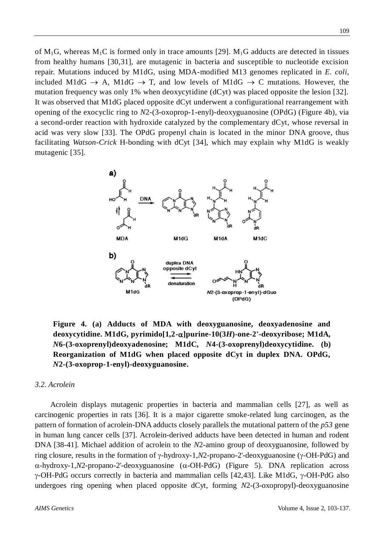of M<sub>1</sub>G, whereas M<sub>1</sub>C is formed only in trace amounts [29]. M<sub>1</sub>G adducts are detected in tissues from healthy humans [30,31], are mutagenic in bacteria and susceptible to nucleotide excision repair. Mutations induced by M1dG, using MDA-modified M13 genomes replicated in *E. coli*, included M1dG  $\rightarrow$  A, M1dG  $\rightarrow$  T, and low levels of M1dG  $\rightarrow$  C mutations. However, the mutation frequency was only 1% when deoxycytidine (dCyt) was placed opposite the lesion [32]. It was observed that M1dG placed opposite dCyt underwent a configurational rearrangement with opening of the exocyclic ring to *N*2-(3-oxoprop-1-enyl)-deoxyguanosine (OPdG) (Figure 4b), via a second-order reaction with hydroxide catalyzed by the complementary dCyt, whose reversal in acid was very slow [33]. The OPdG propenyl chain is located in the minor DNA groove, thus facilitating *Watson-Crick* H-bonding with dCyt [34], which may explain why M1dG is weakly mutagenic [35].



**Figure 4. (a) Adducts of MDA with deoxyguanosine, deoxyadenosine and**  deoxycytidine. M1dG, pyrimido[1,2- $\alpha$ ]purine-10(3*H*)-one-2'-deoxyribose; M1dA, *N***6-(3-oxoprenyl)deoxyadenosine; M1dC,** *N***4-(3-oxoprenyl)deoxycytidine. (b) Reorganization of M1dG when placed opposite dCyt in duplex DNA. OPdG,**  *N***2-(3-oxoprop-1-enyl)-deoxyguanosine.**

## *3.2. Acrolein*

Acrolein displays mutagenic properties in bacteria and mammalian cells [27], as well as carcinogenic properties in rats [36]. It is a major cigarette smoke-related lung carcinogen, as the pattern of formation of acrolein-DNA adducts closely parallels the mutational pattern of the *p53* gene in human lung cancer cells [37]. Acrolein-derived adducts have been detected in human and rodent DNA [38-41]. Michael addition of acrolein to the *N*2-amino group of deoxyguanosine, followed by ring closure, results in the formation of  $\gamma$ -hydroxy-1,*N*2-propano-2'-deoxyguanosine ( $\gamma$ -OH-PdG) and  $\alpha$ -hydroxy-1,*N*2-propano-2'-deoxyguanosine ( $\alpha$ -OH-PdG) (Figure 5). DNA replication across  $\gamma$ -OH-PdG occurs correctly in bacteria and mammalian cells [42,43]. Like M1dG,  $\gamma$ -OH-PdG also undergoes ring opening when placed opposite dCyt, forming *N*2-(3-oxopropyl)-deoxyguanosine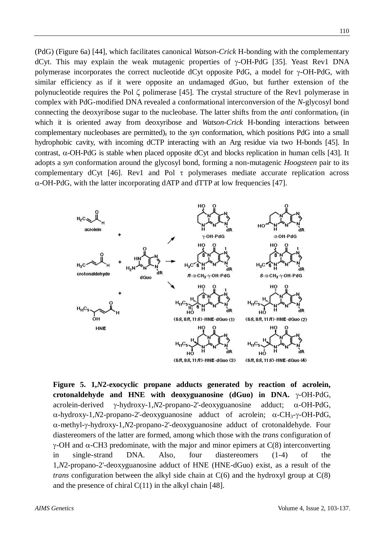(PdG) (Figure 6a) [44], which facilitates canonical *Watson-Crick* H-bonding with the complementary dCyt. This may explain the weak mutagenic properties of  $\gamma$ -OH-PdG [35]. Yeast Rev1 DNA polymerase incorporates the correct nucleotide dCyt opposite PdG, a model for  $\gamma$ -OH-PdG, with similar efficiency as if it were opposite an undamaged dGuo, but further extension of the polynucleotide requires the Pol  $\zeta$  polimerase [45]. The crystal structure of the Rev1 polymerase in complex with PdG-modified DNA revealed a conformational interconversion of the *N*-glycosyl bond connecting the deoxyribose sugar to the nucleobase. The latter shifts from the *anti* conformation, (in which it is oriented away from deoxyribose and *Watson-Crick* H-bonding interactions between complementary nucleobases are permitted), to the *syn* conformation, which positions PdG into a small hydrophobic cavity, with incoming dCTP interacting with an Arg residue via two H-bonds [45]. In contrast,  $\alpha$ -OH-PdG is stable when placed opposite dCyt and blocks replication in human cells [43]. It adopts a *syn* conformation around the glycosyl bond, forming a non-mutagenic *Hoogsteen* pair to its complementary dCyt [46]. Rev1 and Pol  $\tau$  polymerases mediate accurate replication across  $\alpha$ -OH-PdG, with the latter incorporating dATP and dTTP at low frequencies [47].



**Figure 5. 1,***N***2-exocyclic propane adducts generated by reaction of acrolein,**  crotonaldehyde and HNE with deoxyguanosine  $(dGuo)$  in DNA.  $\gamma$ -OH-PdG, acrolein-derived  $\gamma$ -hydroxy-1,*N*2-propano-2'-deoxyguanosine adduct;  $\alpha$ -OH-PdG,  $\alpha$ -hydroxy-1,*N*2-propano-2'-deoxyguanosine adduct of acrolein;  $\alpha$ -CH<sub>3</sub>- $\gamma$ -OH-PdG, -methyl--hydroxy-1,*N*2-propano-2'-deoxyguanosine adduct of crotonaldehyde. Four diastereomers of the latter are formed, among which those with the *trans* configuration of  $\gamma$ -OH and  $\alpha$ -CH3 predominate, with the major and minor epimers at C(8) interconverting in single-strand DNA. Also, four diastereomers (1-4) of the 1,*N*2-propano-2'-deoxyguanosine adduct of HNE (HNE-dGuo) exist, as a result of the *trans* configuration between the alkyl side chain at  $C(6)$  and the hydroxyl group at  $C(8)$ and the presence of chiral C(11) in the alkyl chain [48].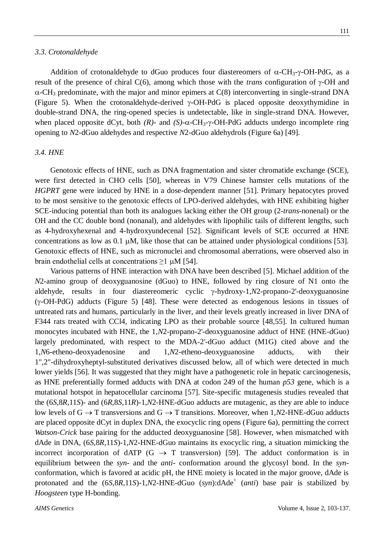#### *3.3. Crotonaldehyde*

Addition of crotonaldehyde to dGuo produces four diastereomers of  $\alpha$ -CH<sub>3</sub>- $\gamma$ -OH-PdG, as a result of the presence of chiral  $C(6)$ , among which those with the *trans* configuration of  $\gamma$ -OH and  $\alpha$ -CH<sub>3</sub> predominate, with the major and minor epimers at C(8) interconverting in single-strand DNA (Figure 5). When the crotonaldehyde-derived  $\gamma$ -OH-PdG is placed opposite deoxythymidine in double-strand DNA, the ring-opened species is undetectable, like in single-strand DNA. However, when placed opposite dCyt, both  $(R)$ - and  $(S)$ - $\alpha$ -CH<sub>3</sub>- $\gamma$ -OH-PdG adducts undergo incomplete ring opening to *N*2-dGuo aldehydes and respective *N*2-dGuo aldehydrols (Figure 6a) [49].

#### *3.4. HNE*

Genotoxic effects of HNE, such as DNA fragmentation and sister chromatide exchange (SCE), were first detected in CHO cells [50], whereas in V79 Chinese hamster cells mutations of the *HGPRT* gene were induced by HNE in a dose-dependent manner [51]. Primary hepatocytes proved to be most sensitive to the genotoxic effects of LPO-derived aldehydes, with HNE exhibiting higher SCE-inducing potential than both its analogues lacking either the OH group (2-*trans*-nonenal) or the OH and the CC double bond (nonanal), and aldehydes with lipophilic tails of different lengths, such as 4-hydroxyhexenal and 4-hydroxyundecenal [52]. Significant levels of SCE occurred at HNE concentrations as low as 0.1  $\mu$ M, like those that can be attained under physiological conditions [53]. Genotoxic effects of HNE, such as micronuclei and chromosomal aberrations, were observed also in brain endothelial cells at concentrations  $\geq 1 \mu M$  [54].

Various patterns of HNE interaction with DNA have been described [5]. Michael addition of the *N*2-amino group of deoxyguanosine (dGuo) to HNE, followed by ring closure of N1 onto the aldehyde, results in four diastereomeric cyclic  $\gamma$ -hydroxy-1,*N*2-propano-2'-deoxyguanosine  $(\gamma$ -OH-PdG) adducts (Figure 5) [48]. These were detected as endogenous lesions in tissues of untreated rats and humans, particularly in the liver, and their levels greatly increased in liver DNA of F344 rats treated with CCl4, indicating LPO as their probable source [48,55]. In cultured human monocytes incubated with HNE, the 1,*N*2-propano-2'-deoxyguanosine adduct of HNE (HNE-dGuo) largely predominated, with respect to the MDA-2'-dGuo adduct (M1G) cited above and the 1,*N*6-etheno-deoxyadenosine and 1,*N*2-etheno-deoxyguanosine adducts, with their 1",2"-dihydroxyheptyl-substituted derivatives discussed below, all of which were detected in much lower yields [56]. It was suggested that they might have a pathogenetic role in hepatic carcinogenesis, as HNE preferentially formed adducts with DNA at codon 249 of the human *p53* gene, which is a mutational hotspot in hepatocellular carcinoma [57]. Site-specific mutagenesis studies revealed that the (6*S*,8*R*,11*S*)- and (6*R*,8*S*,11*R*)-1,*N*2-HNE-dGuo adducts are mutagenic, as they are able to induce low levels of  $G \to T$  transversions and  $G \to T$  transitions. Moreover, when 1,*N*2-HNE-dGuo adducts are placed opposite dCyt in duplex DNA, the exocyclic ring opens (Figure 6a), permitting the correct *Watson-Crick* base pairing for the adducted deoxyguanosine [58]. However, when mismatched with dAde in DNA, (6*S*,8*R*,11*S*)-1,*N*2-HNE-dGuo maintains its exocyclic ring, a situation mimicking the incorrect incorporation of dATP (G  $\rightarrow$  T transversion) [59]. The adduct conformation is in equilibrium between the *syn-* and the *anti-* conformation around the glycosyl bond. In the *syn*conformation, which is favored at acidic pH, the HNE moiety is located in the major groove, dAde is protonated and the  $(6S, 8R, 11S)$ -1,*N*2-HNE-dGuo  $(syn)$ :dAde<sup>+</sup>  $(anti)$  base pair is stabilized by *Hoogsteen* type H-bonding.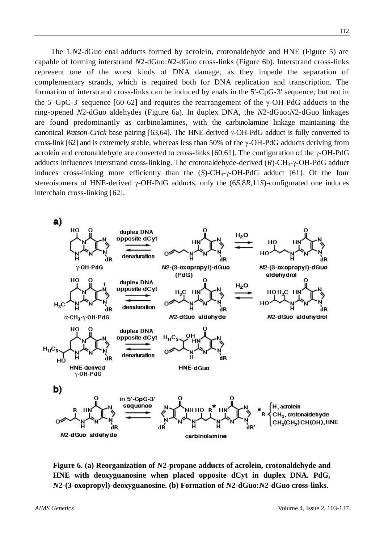The 1,*N*2-dGuo enal adducts formed by acrolein, crotonaldehyde and HNE (Figure 5) are capable of forming interstrand *N*2-dGuo:*N*2-dGuo cross-links (Figure 6b). Interstrand cross-links represent one of the worst kinds of DNA damage, as they impede the separation of complementary strands, which is required both for DNA replication and transcription. The formation of interstrand cross-links can be induced by enals in the 5'-CpG-3' sequence, but not in the 5'-GpC-3' sequence [60-62] and requires the rearrangement of the  $\gamma$ -OH-PdG adducts to the ring-opened *N*2-dGuo aldehydes (Figure 6a). In duplex DNA, the *N*2-dGuo:*N*2-dGuo linkages are found predominantly as carbinolamines, with the carbinolamine linkage maintaining the canonical *Watson-Crick* base pairing [63,64]. The HNE-derived  $\gamma$ -OH-PdG adduct is fully converted to cross-link [62] and is extremely stable, whereas less than 50% of the  $\gamma$ -OH-PdG adducts deriving from acrolein and crotonaldehyde are converted to cross-links [60,61]. The configuration of the  $\gamma$ -OH-PdG adducts influences interstrand cross-linking. The crotonaldehyde-derived  $(R)$ -CH<sub>3</sub>- $\gamma$ -OH-PdG adduct induces cross-linking more efficiently than the  $(S)$ -CH<sub>3</sub>- $\gamma$ -OH-PdG adduct [61]. Of the four stereoisomers of HNE-derived  $\gamma$ -OH-PdG adducts, only the (6*S*,8*R*,11*S*)-configurated one induces interchain cross-linking [62].



**Figure 6. (a) Reorganization of** *N***2-propane adducts of acrolein, crotonaldehyde and HNE with deoxyguanosine when placed opposite dCyt in duplex DNA. PdG,**  *N***2-(3-oxopropyl)-deoxyguanosine. (b) Formation of** *N***2-dGuo:***N***2-dGuo cross-links.**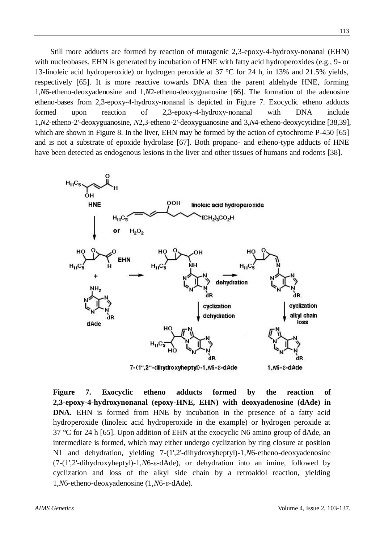Still more adducts are formed by reaction of mutagenic 2,3-epoxy-4-hydroxy-nonanal (EHN) with nucleobases. EHN is generated by incubation of HNE with fatty acid hydroperoxides (e.g., 9- or 13-linoleic acid hydroperoxide) or hydrogen peroxide at 37 °C for 24 h, in 13% and 21.5% yields, respectively [65]. It is more reactive towards DNA then the parent aldehyde HNE, forming 1,*N*6-etheno-deoxyadenosine and 1,*N*2-etheno-deoxyguanosine [66]. The formation of the adenosine etheno-bases from 2,3-epoxy-4-hydroxy-nonanal is depicted in Figure 7. Exocyclic etheno adducts formed upon reaction of 2,3-epoxy-4-hydroxy-nonanal with DNA include 1,*N*2-etheno-2'-deoxyguanosine, *N*2,3-etheno-2'-deoxyguanosine and 3,*N*4-etheno-deoxycytidine [38,39], which are shown in Figure 8. In the liver, EHN may be formed by the action of cytochrome P-450 [65] and is not a substrate of epoxide hydrolase [67]. Both propano- and etheno-type adducts of HNE have been detected as endogenous lesions in the liver and other tissues of humans and rodents [38].



**Figure 7. Exocyclic etheno adducts formed by the reaction of 2,3-epoxy-4-hydroxynonanal (epoxy-HNE, EHN) with deoxyadenosine (dAde) in DNA.** EHN is formed from HNE by incubation in the presence of a fatty acid hydroperoxide (linoleic acid hydroperoxide in the example) or hydrogen peroxide at 37 °C for 24 h [65]. Upon addition of EHN at the exocyclic N6 amino group of dAde, an intermediate is formed, which may either undergo cyclization by ring closure at position N1 and dehydration, yielding 7-(1',2'-dihydroxyheptyl)-1,*N*6-etheno-deoxyadenosine (7-(1',2'-dihydroxyheptyl)-1,*N*6--dAde), or dehydration into an imine, followed by cyclization and loss of the alkyl side chain by a retroaldol reaction, yielding 1,*N*6-etheno-deoxyadenosine (1,*N*6-ε-dAde).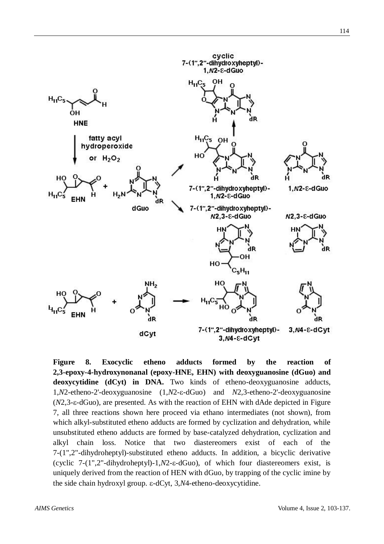

**Figure 8. Exocyclic etheno adducts formed by the reaction of 2,3-epoxy-4-hydroxynonanal (epoxy-HNE, EHN) with deoxyguanosine (dGuo) and deoxycytidine (dCyt) in DNA.** Two kinds of etheno-deoxyguanosine adducts, 1,*N*2-etheno-2'-deoxyguanosine (1,*N*2-ε-dGuo) and *N*2,3-etheno-2'-deoxyguanosine  $(N2,3-\epsilon-dGuo)$ , are presented. As with the reaction of EHN with dAde depicted in Figure 7, all three reactions shown here proceed via ethano intermediates (not shown), from which alkyl-substituted etheno adducts are formed by cyclization and dehydration, while unsubstituted etheno adducts are formed by base-catalyzed dehydration, cyclization and alkyl chain loss. Notice that two diastereomers exist of each of the 7-(1",2"-dihydroheptyl)-substituted etheno adducts. In addition, a bicyclic derivative (cyclic  $7-(1".2".dihydroheptyl)-1.N2- $\varepsilon$ -dGuol, of which four diastereomers exist, is$ uniquely derived from the reaction of HEN with dGuo, by trapping of the cyclic imine by the side chain hydroxyl group. ε-dCyt, 3,*N*4-etheno-deoxycytidine.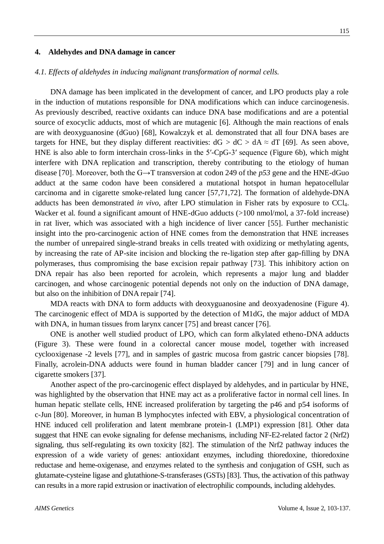#### **4. Aldehydes and DNA damage in cancer**

#### *4.1. Effects of aldehydes in inducing malignant transformation of normal cells.*

DNA damage has been implicated in the development of cancer, and LPO products play a role in the induction of mutations responsible for DNA modifications which can induce carcinogenesis. As previously described, reactive oxidants can induce DNA base modifications and are a potential source of exocyclic adducts, most of which are mutagenic [6]. Although the main reactions of enals are with deoxyguanosine (dGuo) [68], Kowalczyk et al. demonstrated that all four DNA bases are targets for HNE, but they display different reactivities:  $dG > dC > dA \approx dT$  [69]. As seen above, HNE is also able to form interchain cross-links in the 5'-CpG-3' sequence (Figure 6b), which might interfere with DNA replication and transcription, thereby contributing to the etiology of human disease [70]. Moreover, both the G→T transversion at codon 249 of the *p53* gene and the HNE-dGuo adduct at the same codon have been considered a mutational hotspot in human hepatocellular carcinoma and in cigarette smoke-related lung cancer [57,71,72]. The formation of aldehyde-DNA adducts has been demonstrated *in vivo*, after LPO stimulation in Fisher rats by exposure to CCl4. Wacker et al. found a significant amount of HNE-dGuo adducts (>100 nmol/mol, a 37-fold increase) in rat liver, which was associated with a high incidence of liver cancer [55]. Further mechanistic insight into the pro-carcinogenic action of HNE comes from the demonstration that HNE increases the number of unrepaired single-strand breaks in cells treated with oxidizing or methylating agents, by increasing the rate of AP-site incision and blocking the re-ligation step after gap-filling by DNA polymerases, thus compromising the base excision repair pathway [73]. This inhibitory action on DNA repair has also been reported for acrolein, which represents a major lung and bladder carcinogen, and whose carcinogenic potential depends not only on the induction of DNA damage, but also on the inhibition of DNA repair [74].

MDA reacts with DNA to form adducts with deoxyguanosine and deoxyadenosine (Figure 4). The carcinogenic effect of MDA is supported by the detection of M1dG, the major adduct of MDA with DNA, in human tissues from larynx cancer [75] and breast cancer [76].

ONE is another well studied product of LPO, which can form alkylated etheno-DNA adducts (Figure 3). These were found in a colorectal cancer mouse model, together with increased cyclooxigenase -2 levels [77], and in samples of gastric mucosa from gastric cancer biopsies [78]. Finally, acrolein-DNA adducts were found in human bladder cancer [79] and in lung cancer of cigarette smokers [37].

Another aspect of the pro-carcinogenic effect displayed by aldehydes, and in particular by HNE, was highlighted by the observation that HNE may act as a proliferative factor in normal cell lines. In human hepatic stellate cells, HNE increased proliferation by targeting the p46 and p54 isoforms of c-Jun [80]. Moreover, in human B lymphocytes infected with EBV, a physiological concentration of HNE induced cell proliferation and latent membrane protein-1 (LMP1) expression [81]. Other data suggest that HNE can evoke signaling for defense mechanisms, including NF-E2-related factor 2 (Nrf2) signaling, thus self-regulating its own toxicity [82]. The stimulation of the Nrf2 pathway induces the expression of a wide variety of genes: antioxidant enzymes, including thioredoxine, thioredoxine reductase and heme-oxigenase, and enzymes related to the synthesis and conjugation of GSH, such as glutamate-cysteine ligase and glutathione-S-transferases (GSTs) [83]. Thus, the activation of this pathway can results in a more rapid extrusion or inactivation of electrophilic compounds, including aldehydes.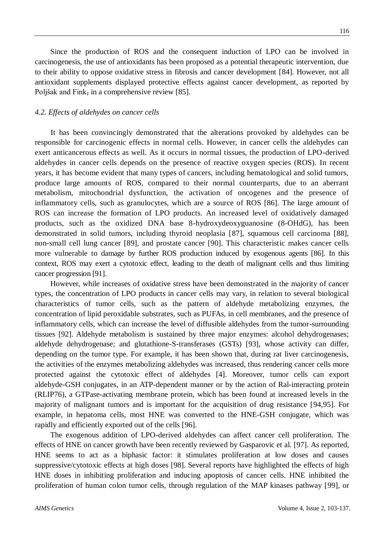Since the production of ROS and the consequent induction of LPO can be involved in carcinogenesis, the use of antioxidants has been proposed as a potential therapeutic intervention, due to their ability to oppose oxidative stress in fibrosis and cancer development [84]. However, not all antioxidant supplements displayed protective effects against cancer development, as reported by Poljšak and Fink, in a comprehensive review [85].

## *4.2. Effects of aldehydes on cancer cells*

It has been convincingly demonstrated that the alterations provoked by aldehydes can be responsible for carcinogenic effects in normal cells. However, in cancer cells the aldehydes can exert anticancerous effects as well. As it occurs in normal tissues, the production of LPO-derived aldehydes in cancer cells depends on the presence of reactive oxygen species (ROS). In recent years, it has become evident that many types of cancers, including hematological and solid tumors, produce large amounts of ROS, compared to their normal counterparts, due to an aberrant metabolism, mitochondrial dysfunction, the activation of oncogenes and the presence of inflammatory cells, such as granulocytes, which are a source of ROS [86]. The large amount of ROS can increase the formation of LPO products. An increased level of oxidatively damaged products, such as the oxidized DNA base 8-hydroxydeoxyguanosine (8-OHdG), has been demonstrated in solid tumors, including thyroid neoplasia [87], squamous cell carcinoma [88], non-small cell lung cancer [89], and prostate cancer [90]. This characteristic makes cancer cells more vulnerable to damage by further ROS production induced by exogenous agents [86]. In this context, ROS may exert a cytotoxic effect, leading to the death of malignant cells and thus limiting cancer progression [91].

However, while increases of oxidative stress have been demonstrated in the majority of cancer types, the concentration of LPO products in cancer cells may vary, in relation to several biological characteristics of tumor cells, such as the pattern of aldehyde metabolizing enzymes, the concentration of lipid peroxidable substrates, such as PUFAs, in cell membranes, and the presence of inflammatory cells, which can increase the level of diffusible aldehydes from the tumor-surrounding tissues [92]. Aldehyde metabolism is sustained by three major enzymes: alcohol dehydrogenases; aldehyde dehydrogenase; and glutathione-S-transferases (GSTs) [93], whose activity can differ, depending on the tumor type. For example, it has been shown that, during rat liver carcinogenesis, the activities of the enzymes metabolizing aldehydes was increased, thus rendering cancer cells more protected against the cytotoxic effect of aldehydes [4]. Moreover, tumor cells can export aldehyde-GSH conjugates, in an ATP-dependent manner or by the action of Ral-interacting protein (RLIP76), a GTPase-activating membrane protein, which has been found at increased levels in the majority of malignant tumors and is important for the acquisition of drug resistance [94,95]. For example, in hepatoma cells, most HNE was converted to the HNE-GSH conjugate, which was rapidly and efficiently exported out of the cells [96].

The exogenous addition of LPO-derived aldehydes can affect cancer cell proliferation. The effects of HNE on cancer growth have been recently reviewed by Gasparovic et al. [97]. As reported, HNE seems to act as a biphasic factor: it stimulates proliferation at low doses and causes suppressive/cytotoxic effects at high doses [98]. Several reports have highlighted the effects of high HNE doses in inhibiting proliferation and inducing apoptosis of cancer cells. HNE inhibited the proliferation of human colon tumor cells, through regulation of the MAP kinases pathway [99], or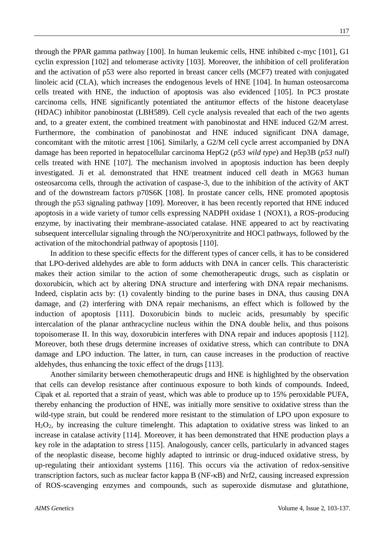through the PPAR gamma pathway [100]. In human leukemic cells, HNE inhibited c-myc [101], G1 cyclin expression [102] and telomerase activity [103]. Moreover, the inhibition of cell proliferation and the activation of p53 were also reported in breast cancer cells (MCF7) treated with conjugated linoleic acid (CLA), which increases the endogenous levels of HNE [104]. In human osteosarcoma cells treated with HNE, the induction of apoptosis was also evidenced [105]. In PC3 prostate carcinoma cells, HNE significantly potentiated the antitumor effects of the histone deacetylase (HDAC) inhibitor panobinostat (LBH589). Cell cycle analysis revealed that each of the two agents and, to a greater extent, the combined treatment with panobinostat and HNE induced G2/M arrest. Furthermore, the combination of panobinostat and HNE induced significant DNA damage, concomitant with the mitotic arrest [106]. Similarly, a G2/M cell cycle arrest accompanied by DNA damage has been reported in hepatocellular carcinoma HepG2 (*p53 wild type*) and Hep3B (*p53 null*) cells treated with HNE [107]. The mechanism involved in apoptosis induction has been deeply investigated. Ji et al. demonstrated that HNE treatment induced cell death in MG63 human osteosarcoma cells, through the activation of caspase-3, due to the inhibition of the activity of AKT and of the downstream factors p70S6K [108]. In prostate cancer cells, HNE promoted apoptosis through the p53 signaling pathway [109]. Moreover, it has been recently reported that HNE induced apoptosis in a wide variety of tumor cells expressing NADPH oxidase 1 (NOX1), a ROS-producing enzyme, by inactivating their membrane-associated catalase. HNE appeared to act by reactivating subsequent intercellular signaling through the NO/peroxynitrite and HOCl pathways, followed by the activation of the mitochondrial pathway of apoptosis [110].

In addition to these specific effects for the different types of cancer cells, it has to be considered that LPO-derived aldehydes are able to form adducts with DNA in cancer cells. This characteristic makes their action similar to the action of some chemotherapeutic drugs, such as cisplatin or doxorubicin, which act by altering DNA structure and interfering with DNA repair mechanisms. Indeed, cisplatin acts by: (1) covalently binding to the purine bases in DNA, thus causing DNA damage, and (2) interfering with DNA repair mechanisms, an effect which is followed by the induction of apoptosis [111]. Doxorubicin binds to nucleic acids, presumably by specific intercalation of the planar anthracycline nucleus within the DNA double helix, and thus poisons topoisomerase II. In this way, doxorubicin interferes with DNA repair and induces apoptosis [112]. Moreover, both these drugs determine increases of oxidative stress, which can contribute to DNA damage and LPO induction. The latter, in turn, can cause increases in the production of reactive aldehydes, thus enhancing the toxic effect of the drugs [113].

Another similarity between chemotherapeutic drugs and HNE is highlighted by the observation that cells can develop resistance after continuous exposure to both kinds of compounds. Indeed, Cipak et al. reported that a strain of yeast, which was able to produce up to 15% peroxidable PUFA, thereby enhancing the production of HNE, was initially more sensitive to oxidative stress than the wild-type strain, but could be rendered more resistant to the stimulation of LPO upon exposure to  $H<sub>2</sub>O<sub>2</sub>$ , by increasing the culture timelenght. This adaptation to oxidative stress was linked to an increase in catalase activity [114]. Moreover, it has been demonstrated that HNE production plays a key role in the adaptation to stress [115]. Analogously, cancer cells, particularly in advanced stages of the neoplastic disease, become highly adapted to intrinsic or drug-induced oxidative stress, by up-regulating their antioxidant systems [116]. This occurs via the activation of redox-sensitive transcription factors, such as nuclear factor kappa B ( $NF-kB$ ) and  $Nrf2$ , causing increased expression of ROS-scavenging enzymes and compounds, such as superoxide dismutase and glutathione,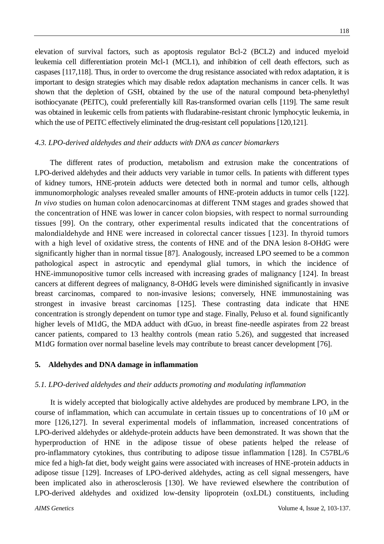elevation of survival factors, such as apoptosis regulator Bcl-2 (BCL2) and induced myeloid leukemia cell differentiation protein Mcl-1 (MCL1), and inhibition of cell death effectors, such as caspases [117,118]. Thus, in order to overcome the drug resistance associated with redox adaptation, it is important to design strategies which may disable redox adaptation mechanisms in cancer cells. It was shown that the depletion of GSH, obtained by the use of the natural compound beta-phenylethyl

isothiocyanate (PEITC), could preferentially kill Ras-transformed ovarian cells [119]. The same result was obtained in leukemic cells from patients with fludarabine-resistant chronic lymphocytic leukemia, in which the use of PEITC effectively eliminated the drug-resistant cell populations [120,121].

## *4.3. LPO-derived aldehydes and their adducts with DNA as cancer biomarkers*

The different rates of production, metabolism and extrusion make the concentrations of LPO-derived aldehydes and their adducts very variable in tumor cells. In patients with different types of kidney tumors, HNE-protein adducts were detected both in normal and tumor cells, although immunomorphologic analyses revealed smaller amounts of HNE-protein adducts in tumor cells [122]. *In vivo* studies on human colon adenocarcinomas at different TNM stages and grades showed that the concentration of HNE was lower in cancer colon biopsies, with respect to normal surrounding tissues [99]. On the contrary, other experimental results indicated that the concentrations of malondialdehyde and HNE were increased in colorectal cancer tissues [123]. In thyroid tumors with a high level of oxidative stress, the contents of HNE and of the DNA lesion 8-OHdG were significantly higher than in normal tissue [87]. Analogously, increased LPO seemed to be a common pathological aspect in astrocytic and ependymal glial tumors, in which the incidence of HNE-immunopositive tumor cells increased with increasing grades of malignancy [124]. In breast cancers at different degrees of malignancy, 8-OHdG levels were diminished significantly in invasive breast carcinomas, compared to non-invasive lesions; conversely, HNE immunostaining was strongest in invasive breast carcinomas [125]. These contrasting data indicate that HNE concentration is strongly dependent on tumor type and stage. Finally, Peluso et al. found significantly higher levels of M1dG, the MDA adduct with dGuo, in breast fine-needle aspirates from 22 breast cancer patients, compared to 13 healthy controls (mean ratio 5.26), and suggested that increased M1dG formation over normal baseline levels may contribute to breast cancer development [76].

## **5. Aldehydes and DNA damage in inflammation**

## *5.1. LPO-derived aldehydes and their adducts promoting and modulating inflammation*

It is widely accepted that biologically active aldehydes are produced by membrane LPO, in the course of inflammation, which can accumulate in certain tissues up to concentrations of 10 μM or more [126,127]. In several experimental models of inflammation, increased concentrations of LPO-derived aldehydes or aldehyde-protein adducts have been demonstrated. It was shown that the hyperproduction of HNE in the adipose tissue of obese patients helped the release of pro-inflammatory cytokines, thus contributing to adipose tissue inflammation [128]. In C57BL/6 mice fed a high-fat diet, body weight gains were associated with increases of HNE-protein adducts in adipose tissue [129]. Increases of LPO-derived aldehydes, acting as cell signal messengers, have been implicated also in atherosclerosis [130]. We have reviewed elsewhere the contribution of LPO-derived aldehydes and oxidized low-density lipoprotein (oxLDL) constituents, including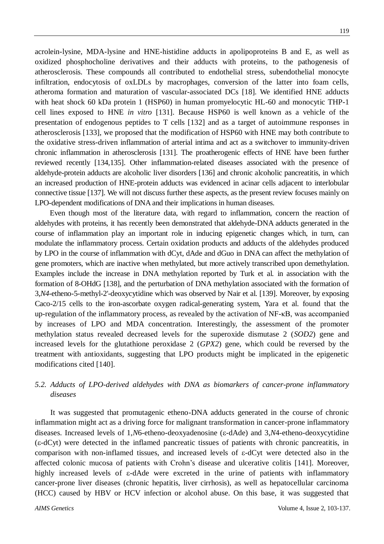acrolein-lysine, MDA-lysine and HNE-histidine adducts in apolipoproteins B and E, as well as oxidized phosphocholine derivatives and their adducts with proteins, to the pathogenesis of atherosclerosis. These compounds all contributed to endothelial stress, subendothelial monocyte infiltration, endocytosis of oxLDLs by macrophages, conversion of the latter into foam cells, atheroma formation and maturation of vascular-associated DCs [18]. We identified HNE adducts with heat shock 60 kDa protein 1 (HSP60) in human promyelocytic HL-60 and monocytic THP-1 cell lines exposed to HNE *in vitro* [131]. Because HSP60 is well known as a vehicle of the presentation of endogenous peptides to T cells [132] and as a target of autoimmune responses in atherosclerosis [133], we proposed that the modification of HSP60 with HNE may both contribute to the oxidative stress-driven inflammation of arterial intima and act as a switchover to immunity-driven chronic inflammation in atherosclerosis [131]. The proatherogenic effects of HNE have been further reviewed recently [134,135]. Other inflammation-related diseases associated with the presence of aldehyde-protein adducts are alcoholic liver disorders [136] and chronic alcoholic pancreatitis, in which an increased production of HNE-protein adducts was evidenced in acinar cells adjacent to interlobular connective tissue [137]. We will not discuss further these aspects, as the present review focuses mainly on LPO-dependent modifications of DNA and their implications in human diseases.

Even though most of the literature data, with regard to inflammation, concern the reaction of aldehydes with proteins, it has recently been demonstrated that aldehyde-DNA adducts generated in the course of inflammation play an important role in inducing epigenetic changes which, in turn, can modulate the inflammatory process. Certain oxidation products and adducts of the aldehydes produced by LPO in the course of inflammation with dCyt, dAde and dGuo in DNA can affect the methylation of gene promoters, which are inactive when methylated, but more actively transcribed upon demethylation. Examples include the increase in DNA methylation reported by Turk et al. in association with the formation of 8-OHdG [138], and the perturbation of DNA methylation associated with the formation of 3,*N4*-etheno-5-methyl-2'-deoxycytidine which was observed by Nair et al. [139]. Moreover, by exposing Caco-2/15 cells to the iron-ascorbate oxygen radical-generating system, Yara et al. found that the up-regulation of the inflammatory process, as revealed by the activation of NF-κB, was accompanied by increases of LPO and MDA concentration. Interestingly, the assessment of the promoter methylation status revealed decreased levels for the superoxide dismutase 2 (*SOD2*) gene and increased levels for the glutathione peroxidase 2 (*GPX2*) gene, which could be reversed by the treatment with antioxidants, suggesting that LPO products might be implicated in the epigenetic modifications cited [140].

# *5.2. Adducts of LPO-derived aldehydes with DNA as biomarkers of cancer-prone inflammatory diseases*

It was suggested that promutagenic etheno-DNA adducts generated in the course of chronic inflammation might act as a driving force for malignant transformation in cancer-prone inflammatory diseases. Increased levels of 1,*N*6-etheno-deoxyadenosine (ε-dAde) and 3,*N*4-etheno-deoxycytidine  $(\epsilon$ -dCyt) were detected in the inflamed pancreatic tissues of patients with chronic pancreatitis, in comparison with non-inflamed tissues, and increased levels of  $\varepsilon$ -dCyt were detected also in the affected colonic mucosa of patients with Crohn's disease and ulcerative colitis [141]. Moreover, highly increased levels of  $\varepsilon$ -dAde were excreted in the urine of patients with inflammatory cancer-prone liver diseases (chronic hepatitis, liver cirrhosis), as well as hepatocellular carcinoma (HCC) caused by HBV or HCV infection or alcohol abuse. On this base, it was suggested that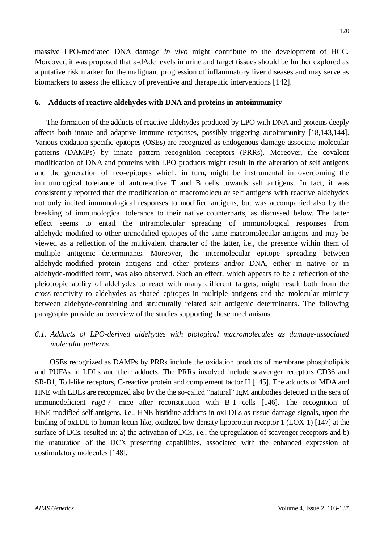massive LPO-mediated DNA damage *in vivo* might contribute to the development of HCC. Moreover, it was proposed that  $\varepsilon$ -dAde levels in urine and target tissues should be further explored as a putative risk marker for the malignant progression of inflammatory liver diseases and may serve as biomarkers to assess the efficacy of preventive and therapeutic interventions [142].

#### **6. Adducts of reactive aldehydes with DNA and proteins in autoimmunity**

The formation of the adducts of reactive aldehydes produced by LPO with DNA and proteins deeply affects both innate and adaptive immune responses, possibly triggering autoimmunity [18,143,144]. Various oxidation-specific epitopes (OSEs) are recognized as endogenous damage-associate molecular patterns (DAMPs) by innate pattern recognition receptors (PRRs). Moreover, the covalent modification of DNA and proteins with LPO products might result in the alteration of self antigens and the generation of neo-epitopes which, in turn, might be instrumental in overcoming the immunological tolerance of autoreactive T and B cells towards self antigens. In fact, it was consistently reported that the modification of macromolecular self antigens with reactive aldehydes not only incited immunological responses to modified antigens, but was accompanied also by the breaking of immunological tolerance to their native counterparts, as discussed below. The latter effect seems to entail the intramolecular spreading of immunological responses from aldehyde-modified to other unmodified epitopes of the same macromolecular antigens and may be viewed as a reflection of the multivalent character of the latter, i.e., the presence within them of multiple antigenic determinants. Moreover, the intermolecular epitope spreading between aldehyde-modified protein antigens and other proteins and/or DNA, either in native or in aldehyde-modified form, was also observed. Such an effect, which appears to be a reflection of the pleiotropic ability of aldehydes to react with many different targets, might result both from the cross-reactivity to aldehydes as shared epitopes in multiple antigens and the molecular mimicry between aldehyde-containing and structurally related self antigenic determinants. The following paragraphs provide an overview of the studies supporting these mechanisms.

# *6.1. Adducts of LPO-derived aldehydes with biological macromolecules as damage-associated molecular patterns*

OSEs recognized as DAMPs by PRRs include the oxidation products of membrane phospholipids and PUFAs in LDLs and their adducts. The PRRs involved include scavenger receptors CD36 and SR-B1, Toll-like receptors, C-reactive protein and complement factor H [145]. The adducts of MDA and HNE with LDLs are recognized also by the the so-called "natural" IgM antibodies detected in the sera of immunodeficient *rag1-/-* mice after reconstitution with B-1 cells [146]. The recognition of HNE-modified self antigens, i.e., HNE-histidine adducts in oxLDLs as tissue damage signals, upon the binding of oxLDL to human lectin-like, oxidized low-density lipoprotein receptor 1 (LOX-1) [147] at the surface of DCs, resulted in: a) the activation of DCs, i.e., the upregulation of scavenger receptors and b) the maturation of the DC's presenting capabilities, associated with the enhanced expression of costimulatory molecules [148].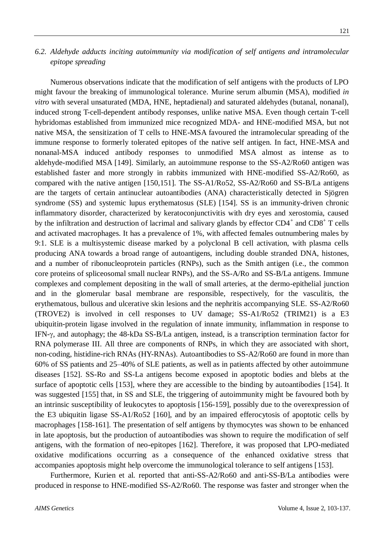# *6.2. Aldehyde adducts inciting autoimmunity via modification of self antigens and intramolecular epitope spreading*

Numerous observations indicate that the modification of self antigens with the products of LPO might favour the breaking of immunological tolerance. Murine serum albumin (MSA), modified *in vitro* with several unsaturated (MDA, HNE, heptadienal) and saturated aldehydes (butanal, nonanal), induced strong T-cell-dependent antibody responses, unlike native MSA. Even though certain T-cell hybridomas established from immunized mice recognized MDA- and HNE-modified MSA, but not native MSA, the sensitization of T cells to HNE-MSA favoured the intramolecular spreading of the immune response to formerly tolerated epitopes of the native self antigen. In fact, HNE-MSA and nonanal-MSA induced antibody responses to unmodified MSA almost as intense as to aldehyde-modified MSA [149]. Similarly, an autoimmune response to the SS-A2/Ro60 antigen was established faster and more strongly in rabbits immunized with HNE-modified SS-A2/Ro60, as compared with the native antigen [150,151]. The SS-A1/Ro52, SS-A2/Ro60 and SS-B/La antigens are the targets of certain antinuclear autoantibodies (ANA) characteristically detected in Sjögren syndrome (SS) and systemic lupus erythematosus (SLE) [154]. SS is an immunity-driven chronic inflammatory disorder, characterized by keratoconjunctivitis with dry eyes and xerostomia, caused by the infiltration and destruction of lacrimal and salivary glands by effector  $CD4^+$  and  $CD8^+$  T cells and activated macrophages. It has a prevalence of 1%, with affected females outnumbering males by 9:1. SLE is a multisystemic disease marked by a polyclonal B cell activation, with plasma cells producing ANA towards a broad range of autoantigens, including double stranded DNA, histones, and a number of ribonucleoprotein particles (RNPs), such as the Smith antigen (i.e., the common core proteins of spliceosomal small nuclear RNPs), and the SS-A/Ro and SS-B/La antigens. Immune complexes and complement depositing in the wall of small arteries, at the dermo-epithelial junction and in the glomerular basal membrane are responsible, respectively, for the vasculitis, the erythematous, bullous and ulcerative skin lesions and the nephritis accompanying SLE. SS-A2/Ro60 (TROVE2) is involved in cell responses to UV damage; SS-A1/Ro52 (TRIM21) is a E3 ubiquitin-protein ligase involved in the regulation of innate immunity, inflammation in response to IFN- $\gamma$ , and autophagy; the 48-kDa SS-B/La antigen, instead, is a transcription termination factor for RNA polymerase III. All three are components of RNPs, in which they are associated with short, non-coding, histidine-rich RNAs (HY-RNAs). Autoantibodies to SS-A2/Ro60 are found in more than 60% of SS patients and 25–40% of SLE patients, as well as in patients affected by other autoimmune diseases [152]. SS-Ro and SS-La antigens become exposed in apoptotic bodies and blebs at the surface of apoptotic cells [153], where they are accessible to the binding by autoantibodies [154]. It was suggested [155] that, in SS and SLE, the triggering of autoimmunity might be favoured both by an intrinsic susceptibility of leukocytes to apoptosis [156-159], possibly due to the overexpression of the E3 ubiquitin ligase SS-A1/Ro52 [160], and by an impaired efferocytosis of apoptotic cells by macrophages [158-161]. The presentation of self antigens by thymocytes was shown to be enhanced in late apoptosis, but the production of autoantibodies was shown to require the modification of self antigens, with the formation of neo-epitopes [162]. Therefore, it was proposed that LPO-mediated oxidative modifications occurring as a consequence of the enhanced oxidative stress that accompanies apoptosis might help overcome the immunological tolerance to self antigens [153].

Furthermore, Kurien et al. reported that anti-SS-A2/Ro60 and anti-SS-B/La antibodies were produced in response to HNE-modified SS-A2/Ro60. The response was faster and stronger when the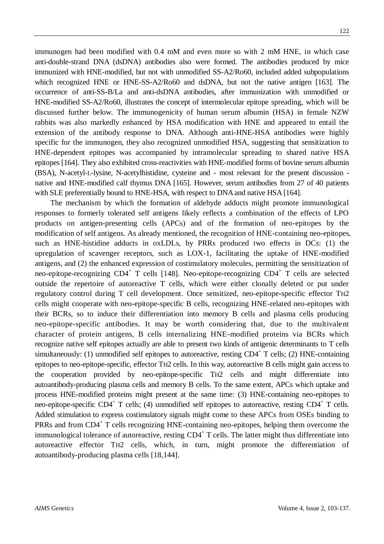immunogen had been modified with 0.4 mM and even more so with 2 mM HNE, in which case anti-double-strand DNA (dsDNA) antibodies also were formed. The antibodies produced by mice immunized with HNE-modified, but not with unmodified SS-A2/Ro60, included added subpopulations which recognized HNE or HNE-SS-A2/Ro60 and dsDNA, but not the native antigen [163]. The occurrence of anti-SS-B/La and anti-dsDNA antibodies, after immunization with unmodified or HNE-modified SS-A2/Ro60, illustrates the concept of intermolecular epitope spreading, which will be discussed further below. The immunogenicity of human serum albumin (HSA) in female NZW rabbits was also markedly enhanced by HSA modification with HNE and appeared to entail the extension of the antibody response to DNA. Although anti-HNE-HSA antibodies were highly specific for the immunogen, they also recognized unmodified HSA, suggesting that sensitization to HNE-dependent epitopes was accompanied by intramolecular spreading to shared native HSA epitopes [164]. They also exhibited cross-reactivities with HNE-modified forms of bovine serum albumin (BSA), N-acetyl-L-lysine, N-acetylhistidine, cysteine and - most relevant for the present discussion native and HNE-modified calf thymus DNA [165]. However, serum antibodies from 27 of 40 patients with SLE preferentially bound to HNE-HSA, with respect to DNA and native HSA [164].

The mechanism by which the formation of aldehyde adducts might promote immunological responses to formerly tolerated self antigens likely reflects a combination of the effects of LPO products on antigen-presenting cells (APCs) and of the formation of neo-epitopes by the modification of self antigens. As already mentioned, the recognition of HNE-containing neo-epitopes, such as HNE-histidine adducts in oxLDLs, by PRRs produced two effects in DCs: (1) the upregulation of scavenger receptors, such as LOX-1, facilitating the uptake of HNE-modified antigens, and (2) the enhanced expression of costimulatory molecules, permitting the sensitization of neo-epitope-recognizing CD4<sup>+</sup> T cells [148]. Neo-epitope-recognizing CD4<sup>+</sup> T cells are selected outside the repertoire of autoreactive T cells, which were either clonally deleted or put under regulatory control during T cell development. Once sensitized, neo-epitope-specific effector TH2 cells might cooperate with neo-epitope-specific B cells, recognizing HNE-related neo-epitopes with their BCRs, so to induce their differentiation into memory B cells and plasma cells producing neo-epitope-specific antibodies. It may be worth considering that, due to the multivalent character of protein antigens, B cells internalizing HNE-modified proteins via BCRs which recognize native self epitopes actually are able to present two kinds of antigenic determinants to T cells simultaneously: (1) unmodified self epitopes to autoreactive, resting CD4<sup>+</sup> T cells; (2) HNE-containing epitopes to neo-epitope-specific, effector TH2 cells. In this way, autoreactive B cells might gain access to the cooperation provided by neo-epitope-specific TH2 cells and might differentiate into autoantibody-producing plasma cells and memory B cells. To the same extent, APCs which uptake and process HNE-modified proteins might present at the same time: (3) HNE-containing neo-epitopes to neo-epitope-specific CD4<sup>+</sup> T cells; (4) unmodified self epitopes to autoreactive, resting CD4<sup>+</sup> T cells. Added stimulation to express costimulatory signals might come to these APCs from OSEs binding to PRRs and from CD4<sup>+</sup> T cells recognizing HNE-containing neo-epitopes, helping them overcome the immunological tolerance of autoreactive, resting CD4<sup>+</sup> T cells. The latter might thus differentiate into autoreactive effector TH2 cells, which, in turn, might promote the differentiation of autoantibody-producing plasma cells [18,144].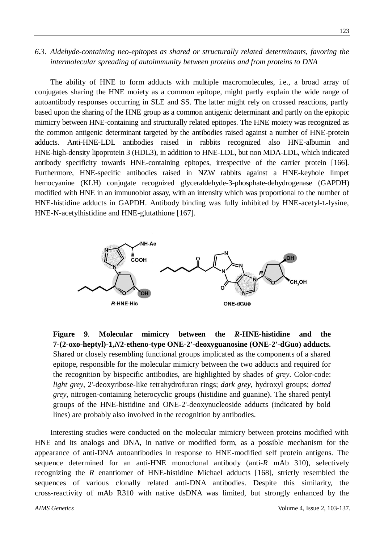# *6.3. Aldehyde-containing neo-epitopes as shared or structurally related determinants, favoring the intermolecular spreading of autoimmunity between proteins and from proteins to DNA*

The ability of HNE to form adducts with multiple macromolecules, i.e., a broad array of conjugates sharing the HNE moiety as a common epitope, might partly explain the wide range of autoantibody responses occurring in SLE and SS. The latter might rely on crossed reactions, partly based upon the sharing of the HNE group as a common antigenic determinant and partly on the epitopic mimicry between HNE-containing and structurally related epitopes. The HNE moiety was recognized as the common antigenic determinant targeted by the antibodies raised against a number of HNE-protein adducts. Anti-HNE-LDL antibodies raised in rabbits recognized also HNE-albumin and HNE-high-density lipoprotein 3 (HDL3), in addition to HNE-LDL, but non MDA-LDL, which indicated antibody specificity towards HNE-containing epitopes, irrespective of the carrier protein [166]. Furthermore, HNE-specific antibodies raised in NZW rabbits against a HNE-keyhole limpet hemocyanine (KLH) conjugate recognized glyceraldehyde-3-phosphate-dehydrogenase (GAPDH) modified with HNE in an immunoblot assay, with an intensity which was proportional to the number of HNE-histidine adducts in GAPDH. Antibody binding was fully inhibited by HNE-acetyl-L-lysine, HNE-N-acetylhistidine and HNE-glutathione [167].



**Figure 9***.* **Molecular mimicry between the** *R***-HNE-histidine and the 7-(2-oxo-heptyl)-1,***N***2-etheno-type ONE-2'-deoxyguanosine (ONE-2'-dGuo) adducts.**  Shared or closely resembling functional groups implicated as the components of a shared epitope, responsible for the molecular mimicry between the two adducts and required for the recognition by bispecific antibodies, are highlighted by shades of *grey*. Color-code: *light grey*, 2'-deoxyribose-like tetrahydrofuran rings; *dark grey*, hydroxyl groups; *dotted grey*, nitrogen-containing heterocyclic groups (histidine and guanine). The shared pentyl groups of the HNE-histidine and ONE-2'-deoxynucleoside adducts (indicated by bold lines) are probably also involved in the recognition by antibodies.

Interesting studies were conducted on the molecular mimicry between proteins modified with HNE and its analogs and DNA, in native or modified form, as a possible mechanism for the appearance of anti-DNA autoantibodies in response to HNE-modified self protein antigens. The sequence determined for an anti-HNE monoclonal antibody (anti-*R* mAb 310), selectively recognizing the *R* enantiomer of HNE-histidine Michael adducts [168], strictly resembled the sequences of various clonally related anti-DNA antibodies. Despite this similarity, the cross-reactivity of mAb R310 with native dsDNA was limited, but strongly enhanced by the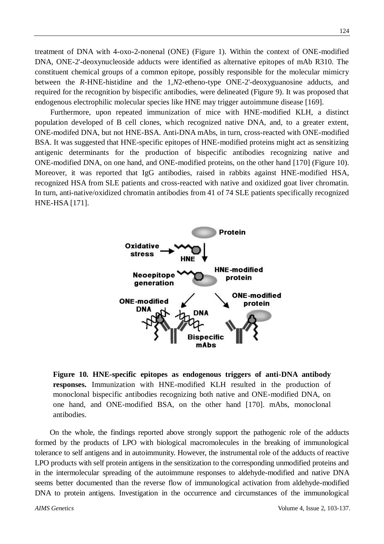treatment of DNA with 4-oxo-2-nonenal (ONE) (Figure 1). Within the context of ONE-modified DNA, ONE-2'-deoxynucleoside adducts were identified as alternative epitopes of mAb R310. The constituent chemical groups of a common epitope, possibly responsible for the molecular mimicry between the *R*-HNE-histidine and the 1,*N*2-etheno-type ONE-2'-deoxyguanosine adducts, and required for the recognition by bispecific antibodies, were delineated (Figure 9). It was proposed that endogenous electrophilic molecular species like HNE may trigger autoimmune disease [169].

Furthermore, upon repeated immunization of mice with HNE-modified KLH, a distinct population developed of B cell clones, which recognized native DNA, and, to a greater extent, ONE-modifed DNA, but not HNE-BSA. Anti-DNA mAbs, in turn, cross-reacted with ONE-modified BSA. It was suggested that HNE-specific epitopes of HNE-modified proteins might act as sensitizing antigenic determinants for the production of bispecific antibodies recognizing native and ONE-modified DNA, on one hand, and ONE-modified proteins, on the other hand [170] (Figure 10). Moreover, it was reported that IgG antibodies, raised in rabbits against HNE-modified HSA, recognized HSA from SLE patients and cross-reacted with native and oxidized goat liver chromatin. In turn, anti-native/oxidized chromatin antibodies from 41 of 74 SLE patients specifically recognized HNE-HSA [171].



**Figure 10***.* **HNE-specific epitopes as endogenous triggers of anti-DNA antibody responses.** Immunization with HNE-modified KLH resulted in the production of monoclonal bispecific antibodies recognizing both native and ONE-modified DNA, on one hand, and ONE-modified BSA, on the other hand [170]. mAbs, monoclonal antibodies.

On the whole, the findings reported above strongly support the pathogenic role of the adducts formed by the products of LPO with biological macromolecules in the breaking of immunological tolerance to self antigens and in autoimmunity. However, the instrumental role of the adducts of reactive LPO products with self protein antigens in the sensitization to the corresponding unmodified proteins and in the intermolecular spreading of the autoimmune responses to aldehyde-modified and native DNA seems better documented than the reverse flow of immunological activation from aldehyde-modified DNA to protein antigens. Investigation in the occurrence and circumstances of the immunological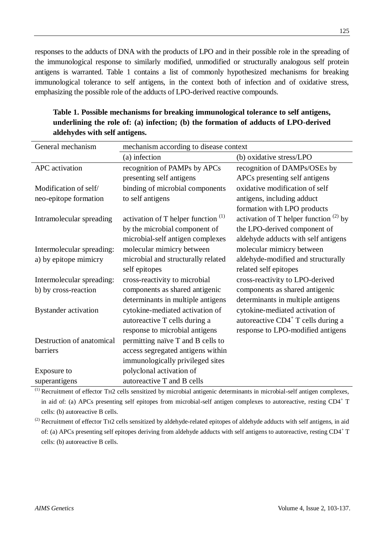responses to the adducts of DNA with the products of LPO and in their possible role in the spreading of the immunological response to similarly modified, unmodified or structurally analogous self protein antigens is warranted. Table 1 contains a list of commonly hypothesized mechanisms for breaking immunological tolerance to self antigens, in the context both of infection and of oxidative stress, emphasizing the possible role of the adducts of LPO-derived reactive compounds.

| General mechanism           | mechanism according to disease context |                                             |
|-----------------------------|----------------------------------------|---------------------------------------------|
|                             | (a) infection                          | (b) oxidative stress/LPO                    |
| APC activation              | recognition of PAMPs by APCs           | recognition of DAMPs/OSEs by                |
|                             | presenting self antigens               | APCs presenting self antigens               |
| Modification of self/       | binding of microbial components        | oxidative modification of self              |
| neo-epitope formation       | to self antigens                       | antigens, including adduct                  |
|                             |                                        | formation with LPO products                 |
| Intramolecular spreading    | activation of T helper function $(1)$  | activation of T helper function $^{(2)}$ by |
|                             | by the microbial component of          | the LPO-derived component of                |
|                             | microbial-self antigen complexes       | aldehyde adducts with self antigens         |
| Intermolecular spreading:   | molecular mimicry between              | molecular mimicry between                   |
| a) by epitope mimicry       | microbial and structurally related     | aldehyde-modified and structurally          |
|                             | self epitopes                          | related self epitopes                       |
| Intermolecular spreading:   | cross-reactivity to microbial          | cross-reactivity to LPO-derived             |
| b) by cross-reaction        | components as shared antigenic         | components as shared antigenic              |
|                             | determinants in multiple antigens      | determinants in multiple antigens           |
| <b>Bystander activation</b> | cytokine-mediated activation of        | cytokine-mediated activation of             |
|                             | autoreactive T cells during a          | autoreactive $CD4^+$ T cells during a       |
|                             | response to microbial antigens         | response to LPO-modified antigens           |
| Destruction of anatomical   | permitting naïve T and B cells to      |                                             |
| barriers                    | access segregated antigens within      |                                             |
|                             | immunologically privileged sites       |                                             |
| Exposure to                 | polyclonal activation of               |                                             |
| superantigens               | autoreactive T and B cells             |                                             |

**Table 1. Possible mechanisms for breaking immunological tolerance to self antigens, underlining the role of: (a) infection; (b) the formation of adducts of LPO-derived aldehydes with self antigens.**

(1) Recruitment of effector TH2 cells sensitized by microbial antigenic determinants in microbial-self antigen complexes, in aid of: (a) APCs presenting self epitopes from microbial-self antigen complexes to autoreactive, resting CD4<sup>+</sup> T cells: (b) autoreactive B cells.

<sup>(2)</sup> Recruitment of effector TH2 cells sensitized by aldehyde-related epitopes of aldehyde adducts with self antigens, in aid of: (a) APCs presenting self epitopes deriving from aldehyde adducts with self antigens to autoreactive, resting CD4<sup>+</sup> T cells: (b) autoreactive B cells.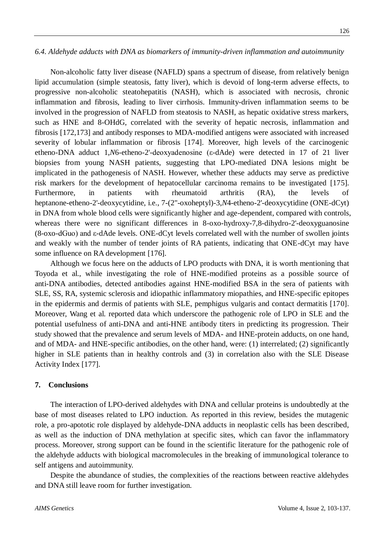## *6.4. Aldehyde adducts with DNA as biomarkers of immunity-driven inflammation and autoimmunity*

Non-alcoholic fatty liver disease (NAFLD) spans a spectrum of disease, from relatively benign lipid accumulation (simple steatosis, fatty liver), which is devoid of long-term adverse effects, to progressive non-alcoholic steatohepatitis (NASH), which is associated with necrosis, chronic inflammation and fibrosis, leading to liver cirrhosis. Immunity-driven inflammation seems to be involved in the progression of NAFLD from steatosis to NASH, as hepatic oxidative stress markers, such as HNE and 8-OHdG, correlated with the severity of hepatic necrosis, inflammation and fibrosis [172,173] and antibody responses to MDA-modified antigens were associated with increased severity of lobular inflammation or fibrosis [174]. Moreover, high levels of the carcinogenic etheno-DNA adduct 1,*N*6-etheno-2'-deoxyadenosine (ε-dAde) were detected in 17 of 21 liver biopsies from young NASH patients, suggesting that LPO-mediated DNA lesions might be implicated in the pathogenesis of NASH. However, whether these adducts may serve as predictive risk markers for the development of hepatocellular carcinoma remains to be investigated [175]. Furthermore, in patients with rheumatoid arthritis (RA), the levels of heptanone-etheno-2'-deoxycytidine, i.e., 7-(2"-oxoheptyl)-3,*N*4-etheno-2'-deoxycytidine (ONE-dCyt) in DNA from whole blood cells were significantly higher and age-dependent, compared with controls, whereas there were no significant differences in 8-oxo-hydroxy-7,8-dihydro-2'-deoxyguanosine (8-oxo-dGuo) and ε-dAde levels. ONE-dCyt levels correlated well with the number of swollen joints and weakly with the number of tender joints of RA patients, indicating that ONE-dCyt may have some influence on RA development [176].

Although we focus here on the adducts of LPO products with DNA, it is worth mentioning that Toyoda et al., while investigating the role of HNE-modified proteins as a possible source of anti-DNA antibodies, detected antibodies against HNE-modified BSA in the sera of patients with SLE, SS, RA, systemic sclerosis and idiopathic inflammatory miopathies, and HNE-specific epitopes in the epidermis and dermis of patients with SLE, pemphigus vulgaris and contact dermatitis [170]. Moreover, Wang et al. reported data which underscore the pathogenic role of LPO in SLE and the potential usefulness of anti-DNA and anti-HNE antibody titers in predicting its progression. Their study showed that the prevalence and serum levels of MDA- and HNE-protein adducts, on one hand, and of MDA- and HNE-specific antibodies, on the other hand, were: (1) interrelated; (2) significantly higher in SLE patients than in healthy controls and (3) in correlation also with the SLE Disease Activity Index [177].

## **7. Conclusions**

The interaction of LPO-derived aldehydes with DNA and cellular proteins is undoubtedly at the base of most diseases related to LPO induction. As reported in this review, besides the mutagenic role, a pro-apototic role displayed by aldehyde-DNA adducts in neoplastic cells has been described, as well as the induction of DNA methylation at specific sites, which can favor the inflammatory process. Moreover, strong support can be found in the scientific literature for the pathogenic role of the aldehyde adducts with biological macromolecules in the breaking of immunological tolerance to self antigens and autoimmunity.

Despite the abundance of studies, the complexities of the reactions between reactive aldehydes and DNA still leave room for further investigation.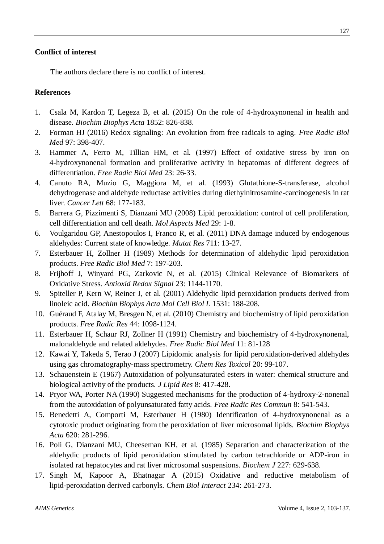The authors declare there is no conflict of interest.

# **References**

- 1. Csala M, Kardon T, Legeza B, et al. (2015) On the role of 4-hydroxynonenal in health and disease. *Biochim Biophys Acta* 1852: 826-838.
- 2. Forman HJ (2016) Redox signaling: An evolution from free radicals to aging. *Free Radic Biol Med* 97: 398-407.
- 3. Hammer A, Ferro M, Tillian HM, et al. (1997) Effect of oxidative stress by iron on 4-hydroxynonenal formation and proliferative activity in hepatomas of different degrees of differentiation. *Free Radic Biol Med* 23: 26-33.
- 4. Canuto RA, Muzio G, Maggiora M, et al. (1993) Glutathione-S-transferase, alcohol dehydrogenase and aldehyde reductase activities during diethylnitrosamine-carcinogenesis in rat liver. *Cancer Lett* 68: 177-183.
- 5. Barrera G, Pizzimenti S, Dianzani MU (2008) Lipid peroxidation: control of cell proliferation, cell differentiation and cell death. *Mol Aspects Med* 29: 1-8.
- 6. Voulgaridou GP, Anestopoulos I, Franco R, et al. (2011) DNA damage induced by endogenous aldehydes: Current state of knowledge. *Mutat Res* 711: 13-27.
- 7. Esterbauer H, Zollner H (1989) Methods for determination of aldehydic lipid peroxidation products. *Free Radic Biol Med* 7: 197-203.
- 8. Frijhoff J, Winyard PG, Zarkovic N, et al. (2015) Clinical Relevance of Biomarkers of Oxidative Stress. *Antioxid Redox Signal* 23: 1144-1170.
- 9. Spiteller P, Kern W, Reiner J, et al. (2001) Aldehydic lipid peroxidation products derived from linoleic acid. *Biochim Biophys Acta Mol Cell Biol L* 1531: 188-208.
- 10. Guéraud F, Atalay M, Bresgen N, et al. (2010) Chemistry and biochemistry of lipid peroxidation products. *Free Radic Res* 44: 1098-1124.
- 11. Esterbauer H, Schaur RJ, Zollner H (1991) Chemistry and biochemistry of 4-hydroxynonenal, malonaldehyde and related aldehydes. *Free Radic Biol Med* 11: 81-128
- 12. Kawai Y, Takeda S, Terao J (2007) Lipidomic analysis for lipid peroxidation-derived aldehydes using gas chromatography-mass spectrometry. *Chem Res Toxicol* 20: 99-107.
- 13. Schauenstein E (1967) Autoxidation of polyunsaturated esters in water: chemical structure and biological activity of the products. *J Lipid Res* 8: 417-428.
- 14. Pryor WA, Porter NA (1990) Suggested mechanisms for the production of 4-hydroxy-2-nonenal from the autoxidation of polyunsaturated fatty acids. *Free Radic Res Commun* 8: 541-543.
- 15. Benedetti A, Comporti M, Esterbauer H (1980) Identification of 4-hydroxynonenal as a cytotoxic product originating from the peroxidation of liver microsomal lipids. *Biochim Biophys Acta* 620: 281-296.
- 16. Poli G, Dianzani MU, Cheeseman KH, et al. (1985) Separation and characterization of the aldehydic products of lipid peroxidation stimulated by carbon tetrachloride or ADP-iron in isolated rat hepatocytes and rat liver microsomal suspensions. *Biochem J* 227: 629-638.
- 17. Singh M, Kapoor A, Bhatnagar A (2015) Oxidative and reductive metabolism of lipid-peroxidation derived carbonyls. *Chem Biol Interact* 234: 261-273.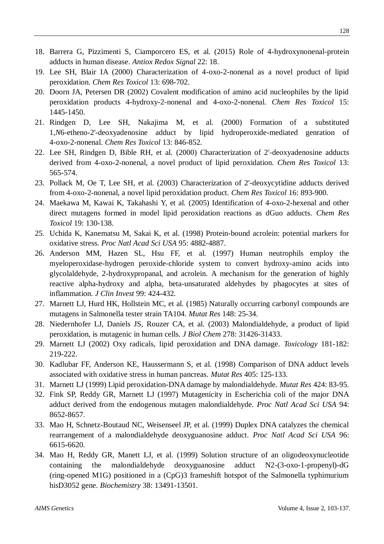- 18. Barrera G, Pizzimenti S, Ciamporcero ES, et al. (2015) Role of 4-hydroxynonenal-protein adducts in human disease. *Antiox Redox Signal* 22: 18.
- 19. Lee SH, Blair IA (2000) Characterization of 4-oxo-2-nonenal as a novel product of lipid peroxidation. *Chem Res Toxicol* 13: 698-702.
- 20. Doorn JA, Petersen DR (2002) Covalent modification of amino acid nucleophiles by the lipid peroxidation products 4-hydroxy-2-nonenal and 4-oxo-2-nonenal. *Chem Res Toxicol* 15: 1445-1450.
- 21. Rindgen D, Lee SH, Nakajima M, et al. (2000) Formation of a substituted 1,*N*6-etheno-2'-deoxyadenosine adduct by lipid hydroperoxide-mediated genration of 4-oxo-2-nonenal. *Chem Res Toxicol* 13: 846-852.
- 22. Lee SH, Rindgen D, Bible RH, et al. (2000) Characterization of 2'-deoxyadenosine adducts derived from 4-oxo-2-nonenal, a novel product of lipid peroxidation. *Chem Res Toxicol* 13: 565-574.
- 23. Pollack M, Oe T, Lee SH, et al. (2003) Characterization of 2'-deoxycytidine adducts derived from 4-oxo-2-nonenal, a novel lipid peroxidation product. *Chem Res Toxicol* 16: 893-900.
- 24. Maekawa M, Kawai K, Takahashi Y, et al. (2005) Identification of 4-oxo-2-hexenal and other direct mutagens formed in model lipid peroxidation reactions as dGuo adducts. *Chem Res Toxicol* 19: 130-138.
- 25. Uchida K, Kanematsu M, Sakai K, et al. (1998) Protein-bound acrolein: potential markers for oxidative stress. *Proc Natl Acad Sci USA* 95: 4882-4887.
- 26. Anderson MM, Hazen SL, Hsu FF, et al. (1997) Human neutrophils employ the myeloperoxidase-hydrogen peroxide-chloride system to convert hydroxy-amino acids into glycolaldehyde, 2-hydroxypropanal, and acrolein. A mechanism for the generation of highly reactive alpha-hydroxy and alpha, beta-unsaturated aldehydes by phagocytes at sites of inflammation. *J Clin Invest* 99: 424-432.
- 27. Marnett LJ, Hurd HK, Hollstein MC, et al. (1985) Naturally occurring carbonyl compounds are mutagens in Salmonella tester strain TA104. *Mutat Res* 148: 25-34.
- 28. Niedernhofer LJ, Daniels JS, Rouzer CA, et al. (2003) Malondialdehyde, a product of lipid peroxidation, is mutagenic in human cells. *J Biol Chem* 278: 31426-31433.
- 29. Marnett LJ (2002) Oxy radicals, lipid peroxidation and DNA damage. *Toxicology* 181-182: 219-222.
- 30. Kadlubar FF, Anderson KE, Haussermann S, et al. (1998) Comparison of DNA adduct levels associated with oxidative stress in human pancreas. *Mutat Res* 405: 125-133.
- 31. Marnett LJ (1999) Lipid peroxidation-DNA damage by malondialdehyde. *Mutat Res* 424: 83-95.
- 32. Fink SP, Reddy GR, Marnett LJ (1997) Mutagenicity in Escherichia coli of the major DNA adduct derived from the endogenous mutagen malondialdehyde. *Proc Natl Acad Sci USA* 94: 8652-8657.
- 33. Mao H, Schnetz-Boutaud NC, Weisenseel JP, et al. (1999) Duplex DNA catalyzes the chemical rearrangement of a malondialdehyde deoxyguanosine adduct. *Proc Natl Acad Sci USA* 96: 6615-6620.
- 34. Mao H, Reddy GR, Manett LJ, et al. (1999) Solution structure of an oligodeoxynucleotide containing the malondialdehyde deoxyguanosine adduct N2-(3-oxo-1-propenyl)-dG (ring-opened M1G) positioned in a (CpG)3 frameshift hotspot of the Salmonella typhimurium hisD3052 gene. *Biochemistry* 38: 13491-13501.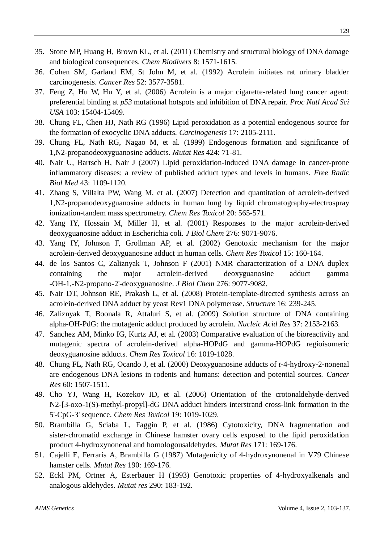- 35. Stone MP, Huang H, Brown KL, et al. (2011) Chemistry and structural biology of DNA damage and biological consequences. *Chem Biodivers* 8: 1571-1615.
- 36. Cohen SM, Garland EM, St John M, et al. (1992) Acrolein initiates rat urinary bladder carcinogenesis. *Cancer Res* 52: 3577-3581.
- 37. Feng Z, Hu W, Hu Y, et al. (2006) Acrolein is a major cigarette-related lung cancer agent: preferential binding at *p53* mutational hotspots and inhibition of DNA repair. *Proc Natl Acad Sci USA* 103: 15404-15409.
- 38. Chung FL, Chen HJ, Nath RG (1996) Lipid peroxidation as a potential endogenous source for the formation of exocyclic DNA adducts. *Carcinogenesis* 17: 2105-2111.
- 39. Chung FL, Nath RG, Nagao M, et al. (1999) Endogenous formation and significance of 1,N2-propanodeoxyguanosine adducts. *Mutat Res* 424: 71-81.
- 40. Nair U, Bartsch H, Nair J (2007) Lipid peroxidation-induced DNA damage in cancer-prone inflammatory diseases: a review of published adduct types and levels in humans. *Free Radic Biol Med* 43: 1109-1120.
- 41. Zhang S, Villalta PW, Wang M, et al. (2007) Detection and quantitation of acrolein-derived 1,N2-propanodeoxyguanosine adducts in human lung by liquid chromatography-electrospray ionization-tandem mass spectrometry. *Chem Res Toxicol* 20: 565-571.
- 42. Yang IY, Hossain M, Miller H, et al. (2001) Responses to the major acrolein-derived deoxyguanosine adduct in Escherichia coli. *J Biol Chem* 276: 9071-9076.
- 43. Yang IY, Johnson F, Grollman AP, et al. (2002) Genotoxic mechanism for the major acrolein-derived deoxyguanosine adduct in human cells. *Chem Res Toxicol* 15: 160-164.
- 44. de los Santos C, Zaliznyak T, Johnson F (2001) NMR characterization of a DNA duplex containing the major acrolein-derived deoxyguanosine adduct gamma -OH-1,-N2-propano-2'-deoxyguanosine. *J Biol Chem* 276: 9077-9082.
- 45. Nair DT, Johnson RE, Prakash L, et al. (2008) Protein-template-directed synthesis across an acrolein-derived DNA adduct by yeast Rev1 DNA polymerase. *Structure* 16: 239-245.
- 46. Zaliznyak T, Boonala R, Attaluri S, et al. (2009) Solution structure of DNA containing alpha-OH-PdG: the mutagenic adduct produced by acrolein. *Nucleic Acid Res* 37: 2153-2163.
- 47. Sanchez AM, Minko IG, Kurtz AJ, et al. (2003) Comparative evaluation of the bioreactivity and mutagenic spectra of acrolein-derived alpha-HOPdG and gamma-HOPdG regioisomeric deoxyguanosine adducts. *Chem Res Toxicol* 16: 1019-1028.
- 48. Chung FL, Nath RG, Ocando J, et al. (2000) Deoxyguanosine adducts of *t*-4-hydroxy-2-nonenal are endogenous DNA lesions in rodents and humans: detection and potential sources. *Cancer Res* 60: 1507-1511.
- 49. Cho YJ, Wang H, Kozekov ID, et al. (2006) Orientation of the crotonaldehyde-derived N2-[3-oxo-1(S)-methyl-propyl]-dG DNA adduct hinders interstrand cross-link formation in the 5'-CpG-3' sequence. *Chem Res Toxicol* 19: 1019-1029.
- 50. Brambilla G, Sciaba L, Faggin P, et al. (1986) Cytotoxicity, DNA fragmentation and sister-chromatid exchange in Chinese hamster ovary cells exposed to the lipid peroxidation product 4-hydroxynonenal and homologousaldehydes. *Mutat Res* 171: 169-176.
- 51. Cajelli E, Ferraris A, Brambilla G (1987) Mutagenicity of 4-hydroxynonenal in V79 Chinese hamster cells. *Mutat Res* 190: 169-176.
- 52. Eckl PM, Ortner A, Esterbauer H (1993) Genotoxic properties of 4-hydroxyalkenals and analogous aldehydes. *Mutat res* 290: 183-192.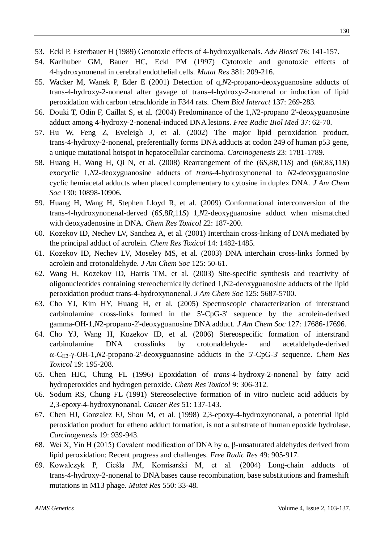- 53. Eckl P, Esterbauer H (1989) Genotoxic effects of 4-hydroxyalkenals. *Adv Biosci* 76: 141-157.
- 54. Karlhuber GM, Bauer HC, Eckl PM (1997) Cytotoxic and genotoxic effects of 4-hydroxynonenal in cerebral endothelial cells. *Mutat Res* 381: 209-216.
- 55. Wacker M, Wanek P, Eder E (2001) Detection of q,*N*2-propano-deoxyguanosine adducts of trans-4-hydroxy-2-nonenal after gavage of trans-4-hydroxy-2-nonenal or induction of lipid peroxidation with carbon tetrachloride in F344 rats. *Chem Biol Interact* 137: 269-283.
- 56. Douki T, Odin F, Caillat S, et al. (2004) Predominance of the 1,*N*2-propano 2'-deoxyguanosine adduct among 4-hydroxy-2-nonenal-induced DNA lesions. *Free Radic Biol Med* 37: 62-70.
- 57. Hu W, Feng Z, Eveleigh J, et al. (2002) The major lipid peroxidation product, trans-4-hydroxy-2-nonenal, preferentially forms DNA adducts at codon 249 of human p53 gene, a unique mutational hotspot in hepatocellular carcinoma. *Carcinogenesis* 23: 1781-1789.
- 58. Huang H, Wang H, Qi N, et al. (2008) Rearrangement of the (6*S*,8*R*,11*S*) and (6*R*,8*S*,11*R*) exocyclic 1,*N*2-deoxyguanosine adducts of *trans*-4-hydroxynonenal to *N*2-deoxyguanosine cyclic hemiacetal adducts when placed complementary to cytosine in duplex DNA. *J Am Chem Soc* 130: 10898-10906.
- 59. Huang H, Wang H, Stephen Lloyd R, et al. (2009) Conformational interconversion of the trans-4-hydroxynonenal-derved (6*S*,8*R*,11*S*) 1,*N*2-deoxyguanosine adduct when mismatched with deoxyadenosine in DNA. *Chem Res Toxicol* 22: 187-200.
- 60. Kozekov ID, Nechev LV, Sanchez A, et al. (2001) Interchain cross-linking of DNA mediated by the principal adduct of acrolein. *Chem Res Toxicol* 14: 1482-1485.
- 61. Kozekov ID, Nechev LV, Moseley MS, et al. (2003) DNA interchain cross-links formed by acrolein and crotonaldehyde. *J Am Chem Soc* 125: 50-61.
- 62. Wang H, Kozekov ID, Harris TM, et al. (2003) Site-specific synthesis and reactivity of oligonucleotides containing stereochemically defined 1,N2-deoxyguanosine adducts of the lipid peroxidation product trans-4-hydroxynonenal. *J Am Chem Soc* 125: 5687-5700.
- 63. Cho YJ, Kim HY, Huang H, et al. (2005) Spectroscopic characterization of interstrand carbinolamine cross-links formed in the 5'-CpG-3' sequence by the acrolein-derived gamma-OH-1,*N*2-propano-2'-deoxyguanosine DNA adduct. *J Am Chem Soc* 127: 17686-17696.
- 64. Cho YJ, Wang H, Kozekov ID, et al. (2006) Stereospecific formation of interstrand carbinolamine DNA crosslinks by crotonaldehyde- and acetaldehyde-derived -CH3--OH-1*,N*2-propano-2'-deoxyguanosine adducts in the 5'-CpG-3' sequence. *Chem Res Toxicol* 19: 195-208.
- 65. Chen HJC, Chung FL (1996) Epoxidation of *trans*-4-hydroxy-2-nonenal by fatty acid hydroperoxides and hydrogen peroxide. *Chem Res Toxicol* 9: 306-312.
- 66. Sodum RS, Chung FL (1991) Stereoselective formation of in vitro nucleic acid adducts by 2,3-epoxy-4-hydroxynonanal. *Cancer Res* 51: 137-143.
- 67. Chen HJ, Gonzalez FJ, Shou M, et al. (1998) 2,3-epoxy-4-hydroxynonanal, a potential lipid peroxidation product for etheno adduct formation, is not a substrate of human epoxide hydrolase. *Carcinogenesis* 19: 939-943.
- 68. Wei X, Yin H (2015) Covalent modification of DNA by α, β-unsaturated aldehydes derived from lipid peroxidation: Recent progress and challenges. *Free Radic Res* 49: 905-917.
- 69. Kowalczyk P, Cieśla JM, Komisarski M, et al. (2004) Long-chain adducts of trans-4-hydroxy-2-nonenal to DNA bases cause recombination, base substitutions and frameshift mutations in M13 phage. *Mutat Res* 550: 33-48.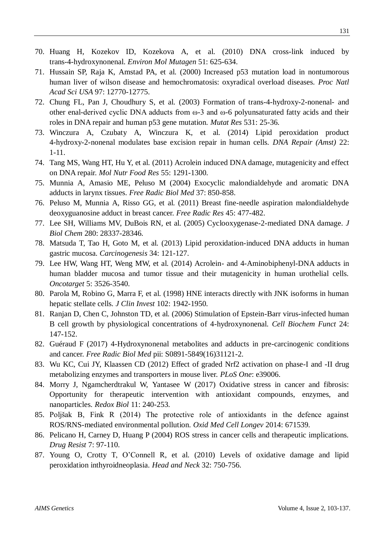- 70. Huang H, Kozekov ID, Kozekova A, et al. (2010) DNA cross-link induced by trans-4-hydroxynonenal. *Environ Mol Mutagen* 51: 625-634.
- 71. Hussain SP, Raja K, Amstad PA, et al. (2000) Increased p53 mutation load in nontumorous human liver of wilson disease and hemochromatosis: oxyradical overload diseases. *Proc Natl Acad Sci USA* 97: 12770-12775.
- 72. Chung FL, Pan J, Choudhury S, et al. (2003) Formation of trans-4-hydroxy-2-nonenal- and other enal-derived cyclic DNA adducts from ω-3 and ω-6 polyunsaturated fatty acids and their roles in DNA repair and human p53 gene mutation. *Mutat Res* 531: 25-36.
- 73. Winczura A, Czubaty A, Winczura K, et al. (2014) Lipid peroxidation product 4-hydroxy-2-nonenal modulates base excision repair in human cells. *DNA Repair (Amst)* 22: 1-11.
- 74. Tang MS, Wang HT, Hu Y, et al. (2011) Acrolein induced DNA damage, mutagenicity and effect on DNA repair. *Mol Nutr Food Res* 55: 1291-1300.
- 75. Munnia A, Amasio ME, Peluso M (2004) Exocyclic malondialdehyde and aromatic DNA adducts in larynx tissues. *Free Radic Biol Med* 37: 850-858.
- 76. Peluso M, Munnia A, Risso GG, et al. (2011) Breast fine-needle aspiration malondialdehyde deoxyguanosine adduct in breast cancer. *Free Radic Res* 45: 477-482.
- 77. Lee SH, Williams MV, DuBois RN, et al. (2005) Cyclooxygenase-2-mediated DNA damage. *J Biol Chem* 280: 28337-28346.
- 78. Matsuda T, Tao H, Goto M, et al. (2013) Lipid peroxidation-induced DNA adducts in human gastric mucosa. *Carcinogenesis* 34: 121-127.
- 79. Lee HW, Wang HT, Weng MW, et al. (2014) Acrolein- and 4-Aminobiphenyl-DNA adducts in human bladder mucosa and tumor tissue and their mutagenicity in human urothelial cells. *Oncotarget* 5: 3526-3540.
- 80. Parola M, Robino G, Marra F, et al. (1998) HNE interacts directly with JNK isoforms in human hepatic stellate cells. *J Clin Invest* 102: 1942-1950.
- 81. Ranjan D, Chen C, Johnston TD, et al. (2006) Stimulation of Epstein-Barr virus-infected human B cell growth by physiological concentrations of 4-hydroxynonenal*. Cell Biochem Funct* 24: 147-152.
- 82. Guéraud F (2017) 4-Hydroxynonenal metabolites and adducts in pre-carcinogenic conditions and cancer. *Free Radic Biol Med* pii: S0891-5849(16)31121-2.
- 83. Wu KC, Cui JY, Klaassen CD (2012) Effect of graded Nrf2 activation on phase-I and -II drug metabolizing enzymes and transporters in mouse liver. *PLoS One*: e39006.
- 84. Morry J, Ngamcherdtrakul W, Yantasee W (2017) Oxidative stress in cancer and fibrosis: Opportunity for therapeutic intervention with antioxidant compounds, enzymes, and nanoparticles. *Redox Biol* 11: 240-253.
- 85. Poljšak B, Fink R (2014) The protective role of antioxidants in the defence against ROS/RNS-mediated environmental pollution. *Oxid Med Cell Longev* 2014: 671539.
- 86. Pelicano H, Carney D, Huang P (2004) ROS stress in cancer cells and therapeutic implications. *Drug Resist* 7: 97-110.
- 87. Young O, Crotty T, O'Connell R, et al. (2010) Levels of oxidative damage and lipid peroxidation inthyroidneoplasia. *Head and Neck* 32: 750-756.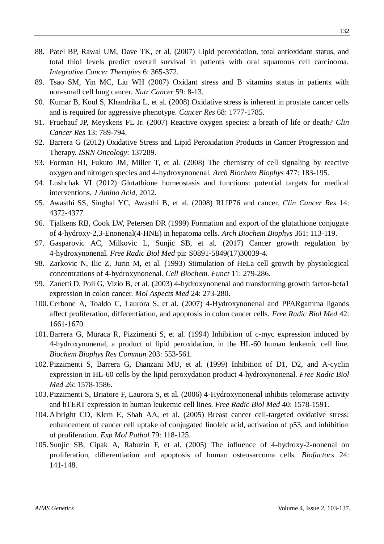- 88. Patel BP, Rawal UM, Dave TK, et al. (2007) Lipid peroxidation, total antioxidant status, and total thiol levels predict overall survival in patients with oral squamous cell carcinoma. *Integrative Cancer Therapies* 6: 365-372.
- 89. Tsao SM, Yin MC, Liu WH (2007) Oxidant stress and B vitamins status in patients with non-small cell lung cancer. *Nutr Cancer* 59: 8-13.
- 90. Kumar B, Koul S, Khandrika L, et al. (2008) Oxidative stress is inherent in prostate cancer cells and is required for aggressive phenotype. *Cancer Res* 68: 1777-1785.
- 91. Fruehauf JP, Meyskens FL Jr. (2007) Reactive oxygen species: a breath of life or death? *Clin Cancer Res* 13: 789-794.
- 92. Barrera G (2012) Oxidative Stress and Lipid Peroxidation Products in Cancer Progression and Therapy. *ISRN Oncology*: 137289.
- 93. Forman HJ, Fukuto JM, Miller T, et al. (2008) The chemistry of cell signaling by reactive oxygen and nitrogen species and 4-hydroxynonenal. *Arch Biochem Biophys* 477: 183-195.
- 94. Lushchak VI (2012) Glutathione homeostasis and functions: potential targets for medical interventions. *J Amino Acid*, 2012.
- 95. Awasthi SS, Singhal YC, Awasthi B, et al. (2008) RLIP76 and cancer. *Clin Cancer Res* 14: 4372-4377.
- 96. Tjalkens RB, Cook LW, Petersen DR (1999) Formation and export of the glutathione conjugate of 4-hydroxy-2,3-Enonenal(4-HNE) in hepatoma cells. *Arch Biochem Biophys* 361: 113-119.
- 97. Gasparovic AC, Milkovic L, Sunjic SB, et al. (2017) Cancer growth regulation by 4-hydroxynonenal. *Free Radic Biol Med* pii: S0891-5849(17)30039-4.
- 98. Zarkovic N, Ilic Z, Jurin M, et al. (1993) Stimulation of HeLa cell growth by physiological concentrations of 4-hydroxynonenal. *Cell Biochem. Funct* 11: 279-286.
- 99. Zanetti D, Poli G, Vizio B, et al. (2003) 4-hydroxynonenal and transforming growth factor-beta1 expression in colon cancer. *Mol Aspects Med* 24: 273-280.
- 100.Cerbone A, Toaldo C, Laurora S, et al. (2007) 4-Hydroxynonenal and PPARgamma ligands affect proliferation, differentiation, and apoptosis in colon cancer cells. *Free Radic Biol Med* 42: 1661-1670.
- 101.Barrera G, Muraca R, Pizzimenti S, et al. (1994) Inhibition of c-myc expression induced by 4-hydroxynonenal, a product of lipid peroxidation, in the HL-60 human leukemic cell line. *Biochem Biophys Res Commun* 203: 553-561.
- 102. Pizzimenti S, Barrera G, Dianzani MU, et al. (1999) Inhibition of D1, D2, and A-cyclin expression in HL-60 cells by the lipid peroxydation product 4-hydroxynonenal. *Free Radic Biol Med* 26: 1578-1586.
- 103. Pizzimenti S, Briatore F, Laurora S, et al. (2006) 4-Hydroxynonenal inhibits telomerase activity and hTERT expression in human leukemic cell lines. *Free Radic Biol Med* 40: 1578-1591.
- 104. Albright CD, Klem E, Shah AA, et al. (2005) Breast cancer cell-targeted oxidative stress: enhancement of cancer cell uptake of conjugated linoleic acid, activation of p53, and inhibition of proliferation. *Exp Mol Pathol* 79: 118-125.
- 105. Sunjic SB, Cipak A, Rabuzin F, et al. (2005) The influence of 4-hydroxy-2-nonenal on proliferation, differentiation and apoptosis of human osteosarcoma cells. *Biofactors* 24: 141-148.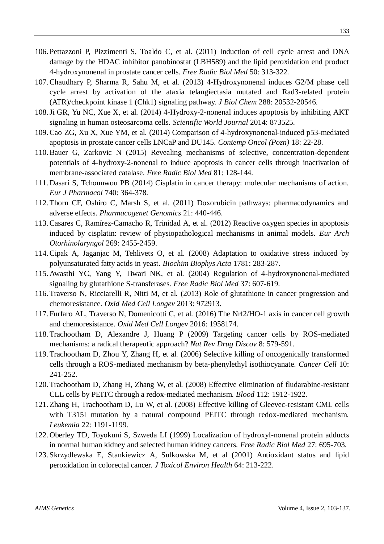- 106. Pettazzoni P, Pizzimenti S, Toaldo C, et al. (2011) Induction of cell cycle arrest and DNA damage by the HDAC inhibitor panobinostat (LBH589) and the lipid peroxidation end product 4-hydroxynonenal in prostate cancer cells. *Free Radic Biol Med* 50: 313-322.
- 107.Chaudhary P, Sharma R, Sahu M, et al. (2013) 4-Hydroxynonenal induces G2/M phase cell cycle arrest by activation of the ataxia telangiectasia mutated and Rad3-related protein (ATR)/checkpoint kinase 1 (Chk1) signaling pathway. *J Biol Chem* 288: 20532-20546.
- 108.Ji GR, Yu NC, Xue X, et al. (2014) 4-Hydroxy-2-nonenal induces apoptosis by inhibiting AKT signaling in human osteosarcoma cells. *Scientific World Journal* 2014: 873525.
- 109.Cao ZG, Xu X, Xue YM, et al. (2014) Comparison of 4-hydroxynonenal-induced p53-mediated apoptosis in prostate cancer cells LNCaP and DU145. *Contemp Oncol (Pozn)* 18: 22-28.
- 110.Bauer G, Zarkovic N (2015) Revealing mechanisms of selective, concentration-dependent potentials of 4-hydroxy-2-nonenal to induce apoptosis in cancer cells through inactivation of membrane-associated catalase. *Free Radic Biol Med* 81: 128-144.
- 111. Dasari S, Tchounwou PB (2014) Cisplatin in cancer therapy: molecular mechanisms of action. *Eur J Pharmacol* 740: 364-378.
- 112.Thorn CF, Oshiro C, Marsh S, et al. (2011) Doxorubicin pathways: pharmacodynamics and adverse effects. *Pharmacogenet Genomics* 21: 440-446.
- 113.Casares C, Ramírez-Camacho R, Trinidad A, et al. (2012) Reactive oxygen species in apoptosis induced by cisplatin: review of physiopathological mechanisms in animal models. *Eur Arch Otorhinolaryngol* 269: 2455-2459.
- 114.Cipak A, Jaganjac M, Tehlivets O, et al. (2008) Adaptation to oxidative stress induced by polyunsaturated fatty acids in yeast. *Biochim Biophys Acta* 1781: 283-287.
- 115. Awasthi YC, Yang Y, Tiwari NK, et al. (2004) Regulation of 4-hydroxynonenal-mediated signaling by glutathione S-transferases*. Free Radic Biol Med* 37: 607-619.
- 116.Traverso N, Ricciarelli R, Nitti M, et al. (2013) Role of glutathione in cancer progression and chemoresistance. *Oxid Med Cell Longev* 2013: 972913.
- 117. Furfaro AL, Traverso N, Domenicotti C, et al. (2016) The Nrf2/HO-1 axis in cancer cell growth and chemoresistance. *Oxid Med Cell Longev* 2016: 1958174.
- 118.Trachootham D, Alexandre J, Huang P (2009) Targeting cancer cells by ROS-mediated mechanisms: a radical therapeutic approach? *Nat Rev Drug Discov* 8: 579-591.
- 119.Trachootham D, Zhou Y, Zhang H, et al. (2006) Selective killing of oncogenically transformed cells through a ROS-mediated mechanism by beta-phenylethyl isothiocyanate. *Cancer Cell* 10: 241-252.
- 120.Trachootham D, Zhang H, Zhang W, et al. (2008) Effective elimination of fludarabine-resistant CLL cells by PEITC through a redox-mediated mechanism. *Blood* 112: 1912-1922.
- 121.Zhang H, Trachootham D, Lu W, et al. (2008) Effective killing of Gleevec-resistant CML cells with T315I mutation by a natural compound PEITC through redox-mediated mechanism. *Leukemia* 22: 1191-1199.
- 122. Oberley TD, Toyokuni S, Szweda LI (1999) Localization of hydroxyl-nonenal protein adducts in normal human kidney and selected human kidney cancers. *Free Radic Biol Med* 27: 695-703.
- 123. Skrzydlewska E, Stankiewicz A, Sulkowska M, et al (2001) Antioxidant status and lipid peroxidation in colorectal cancer. *J Toxicol Environ Health* 64: 213-222.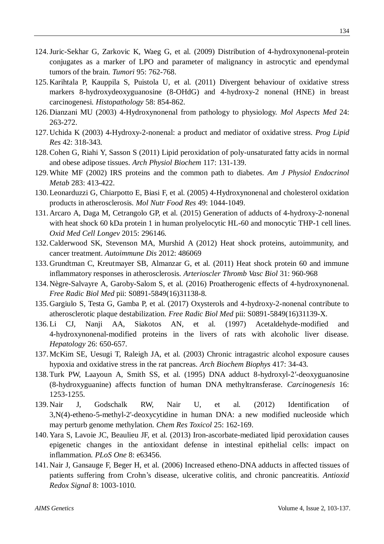- 124.Juric-Sekhar G, Zarkovic K, Waeg G, et al. (2009) Distribution of 4-hydroxynonenal-protein conjugates as a marker of LPO and parameter of malignancy in astrocytic and ependymal tumors of the brain*. Tumori* 95: 762-768.
- 125. Karihtala P, Kauppila S, Puistola U, et al. (2011) Divergent behaviour of oxidative stress markers 8-hydroxydeoxyguanosine (8-OHdG) and 4-hydroxy-2 nonenal (HNE) in breast carcinogenesi. *Histopathology* 58: 854-862.
- 126. Dianzani MU (2003) 4-Hydroxynonenal from pathology to physiology. *Mol Aspects Med* 24: 263-272.
- 127. Uchida K (2003) 4-Hydroxy-2-nonenal: a product and mediator of oxidative stress. *Prog Lipid Res* 42: 318-343.
- 128.Cohen G, Riahi Y, Sasson S (2011) Lipid peroxidation of poly-unsaturated fatty acids in normal and obese adipose tissues. *Arch Physiol Biochem* 117: 131-139.
- 129.White MF (2002) IRS proteins and the common path to diabetes. *Am J Physiol Endocrinol Metab* 283: 413-422.
- 130.Leonarduzzi G, Chiarpotto E, Biasi F, et al. (2005) 4-Hydroxynonenal and cholesterol oxidation products in atherosclerosis. *Mol Nutr Food Res* 49: 1044-1049.
- 131. Arcaro A, Daga M, Cetrangolo GP, et al. (2015) Generation of adducts of 4-hydroxy-2-nonenal with heat shock 60 kDa protein 1 in human prolyelocytic HL-60 and monocytic THP-1 cell lines. *Oxid Med Cell Longev* 2015: 296146.
- 132.Calderwood SK, Stevenson MA, Murshid A (2012) Heat shock proteins, autoimmunity, and cancer treatment. *Autoimmune Dis* 2012: 486069
- 133. Grundtman C, Kreutmayer SB, Almanzar G, et al. (2011) Heat shock protein 60 and immune inflammatory responses in atherosclerosis. *Arterioscler Thromb Vasc Biol* 31: 960-968
- 134. Nègre-Salvayre A, Garoby-Salom S, et al. (2016) Proatherogenic effects of 4-hydroxynonenal. *Free Radic Biol Med* pii: S0891-5849(16)31138-8.
- 135. Gargiulo S, Testa G, Gamba P, et al. (2017) Oxysterols and 4-hydroxy-2-nonenal contribute to atherosclerotic plaque destabilization. *Free Radic Biol Med* pii: S0891-5849(16)31139-X.
- 136.Li CJ, Nanji AA, Siakotos AN, et al. (1997) Acetaldehyde-modified and 4-hydroxynonenal-modified proteins in the livers of rats with alcoholic liver disease. *Hepatology* 26: 650-657.
- 137. McKim SE, Uesugi T, Raleigh JA, et al. (2003) Chronic intragastric alcohol exposure causes hypoxia and oxidative stress in the rat pancreas. *Arch Biochem Biophys* 417: 34-43.
- 138.Turk PW, Laayoun A, Smith SS, et al. (1995) DNA adduct 8-hydroxyl-2′-deoxyguanosine (8-hydroxyguanine) affects function of human DNA methyltransferase. *Carcinogenesis* 16: 1253-1255.
- 139. Nair J, Godschalk RW, Nair U, et al. (2012) Identification of 3,N(4)-etheno-5-methyl-2'-deoxycytidine in human DNA: a new modified nucleoside which may perturb genome methylation. *Chem Res Toxicol* 25: 162-169.
- 140. Yara S, Lavoie JC, Beaulieu JF, et al. (2013) Iron-ascorbate-mediated lipid peroxidation causes epigenetic changes in the antioxidant defense in intestinal epithelial cells: impact on inflammation*. PLoS One* 8: e63456.
- 141. Nair J, Gansauge F, Beger H, et al. (2006) Increased etheno-DNA adducts in affected tissues of patients suffering from Crohn's disease, ulcerative colitis, and chronic pancreatitis. *Antioxid Redox Signal* 8: 1003-1010.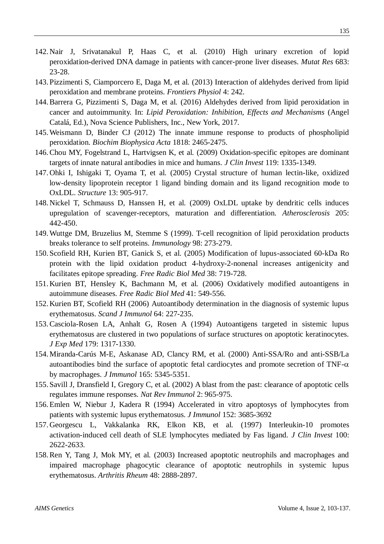- 142. Nair J, Srivatanakul P, Haas C, et al. (2010) High urinary excretion of lopid peroxidation-derived DNA damage in patients with cancer-prone liver diseases. *Mutat Res* 683: 23-28.
- 143. Pizzimenti S, Ciamporcero E, Daga M, et al. (2013) Interaction of aldehydes derived from lipid peroxidation and membrane proteins. *Frontiers Physiol* 4: 242.
- 144.Barrera G, Pizzimenti S, Daga M, et al. (2016) Aldehydes derived from lipid peroxidation in cancer and autoimmunity. In: *Lipid Peroxidation: Inhibition, Effects and Mechanisms* (Angel Catalá, Ed.), Nova Science Publishers, Inc., New York, 2017.
- 145.Weismann D, Binder CJ (2012) The innate immune response to products of phospholipid peroxidation. *Biochim Biophysica Acta* 1818: 2465-2475.
- 146.Chou MY, Fogelstrand L, Hartvigsen K, et al. (2009) Oxidation-specific epitopes are dominant targets of innate natural antibodies in mice and humans. *J Clin Invest* 119: 1335-1349.
- 147. Ohki I, Ishigaki T, Oyama T, et al. (2005) Crystal structure of human lectin-like, oxidized low-density lipoprotein receptor 1 ligand binding domain and its ligand recognition mode to OxLDL. *Structure* 13: 905-917.
- 148. Nickel T, Schmauss D, Hanssen H, et al. (2009) OxLDL uptake by dendritic cells induces upregulation of scavenger-receptors, maturation and differentiation. *Atherosclerosis* 205: 442-450.
- 149.Wuttge DM, Bruzelius M, Stemme S (1999). T-cell recognition of lipid peroxidation products breaks tolerance to self proteins. *Immunology* 98: 273-279.
- 150. Scofield RH, Kurien BT, Ganick S, et al. (2005) Modification of lupus-associated 60-kDa Ro protein with the lipid oxidation product 4-hydroxy-2-nonenal increases antigenicity and facilitates epitope spreading. *Free Radic Biol Med* 38: 719-728.
- 151. Kurien BT, Hensley K, Bachmann M, et al. (2006) Oxidatively modified autoantigens in autoimmune diseases. *Free Radic Biol Med* 41: 549-556.
- 152. Kurien BT, Scofield RH (2006) Autoantibody determination in the diagnosis of systemic lupus erythematosus. *Scand J Immunol* 64: 227-235.
- 153.Casciola-Rosen LA, Anhalt G, Rosen A (1994) Autoantigens targeted in sistemic lupus erythematosus are clustered in two populations of surface structures on apoptotic keratinocytes. *J Exp Med* 179: 1317-1330.
- 154. Miranda-Carús M-E, Askanase AD, Clancy RM, et al. (2000) Anti-SSA/Ro and anti-SSB/La autoantibodies bind the surface of apoptotic fetal cardiocytes and promote secretion of  $TNF-\alpha$ by macrophages. *J Immunol* 165: 5345-5351.
- 155. Savill J, Dransfield I, Gregory C, et al. (2002) A blast from the past: clearance of apoptotic cells regulates immune responses. *Nat Rev Immunol* 2: 965-975.
- 156.Emlen W, Niebur J, Kadera R (1994) Accelerated in vitro apoptosys of lymphocytes from patients with systemic lupus erythematosus. *J Immunol* 152: 3685-3692
- 157. Georgescu L, Vakkalanka RK, Elkon KB, et al. (1997) Interleukin-10 promotes activation-induced cell death of SLE lymphocytes mediated by Fas ligand. *J Clin Invest* 100: 2622-2633.
- 158.Ren Y, Tang J, Mok MY, et al. (2003) Increased apoptotic neutrophils and macrophages and impaired macrophage phagocytic clearance of apoptotic neutrophils in systemic lupus erythematosus. *Arthritis Rheum* 48: 2888-2897.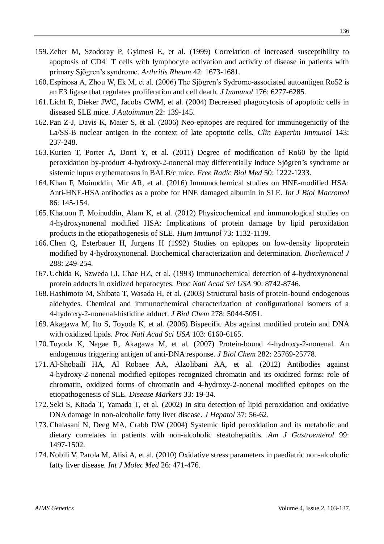- 159.Zeher M, Szodoray P, Gyimesi E, et al. (1999) Correlation of increased susceptibility to apoptosis of CD4<sup>+</sup> T cells with lymphocyte activation and activity of disease in patients with primary Sjögren's syndrome. *Arthritis Rheum* 42: 1673-1681.
- 160.Espinosa A, Zhou W, Ek M, et al. (2006) The Sjögren's Sydrome-associated autoantigen Ro52 is an E3 ligase that regulates proliferation and cell death. *J Immunol* 176: 6277-6285.
- 161.Licht R, Dieker JWC, Jacobs CWM, et al. (2004) Decreased phagocytosis of apoptotic cells in diseased SLE mice. *J Autoimmun* 22: 139-145.
- 162. Pan Z-J, Davis K, Maier S, et al. (2006) Neo-epitopes are required for immunogenicity of the La/SS-B nuclear antigen in the context of late apoptotic cells. *Clin Experim Immunol* 143: 237-248.
- 163. Kurien T, Porter A, Dorri Y, et al. (2011) Degree of modification of Ro60 by the lipid peroxidation by-product 4-hydroxy-2-nonenal may differentially induce Sjögren's syndrome or sistemic lupus erythematosus in BALB/c mice. *Free Radic Biol Med* 50: 1222-1233.
- 164. Khan F, Moinuddin, Mir AR, et al. (2016) Immunochemical studies on HNE-modified HSA: Anti-HNE-HSA antibodies as a probe for HNE damaged albumin in SLE. *Int J Biol Macromol* 86: 145-154.
- 165. Khatoon F, Moinuddin, Alam K, et al. (2012) Physicochemical and immunological studies on 4-hydroxynonenal modified HSA: Implications of protein damage by lipid peroxidation products in the etiopathogenesis of SLE. *Hum Immunol* 73: 1132-1139.
- 166.Chen Q, Esterbauer H, Jurgens H (1992) Studies on epitopes on low-density lipoprotein modified by 4-hydroxynonenal. Biochemical characterization and determination. *Biochemical J* 288: 249-254.
- 167. Uchida K, Szweda LI, Chae HZ, et al. (1993) Immunochemical detection of 4-hydroxynonenal protein adducts in oxidized hepatocytes. *Proc Natl Acad Sci USA* 90: 8742-8746.
- 168. Hashimoto M, Shibata T, Wasada H, et al. (2003) Structural basis of protein-bound endogenous aldehydes. Chemical and immunochemical characterization of configurational isomers of a 4-hydroxy-2-nonenal-histidine adduct. *J Biol Chem* 278: 5044-5051.
- 169. Akagawa M, Ito S, Toyoda K, et al. (2006) Bispecific Abs against modified protein and DNA with oxidized lipids. *Proc Natl Acad Sci USA* 103: 6160-6165.
- 170.Toyoda K, Nagae R, Akagawa M, et al. (2007) Protein-bound 4-hydroxy-2-nonenal. An endogenous triggering antigen of anti-DNA response. *J Biol Chem* 282: 25769-25778.
- 171. Al-Shobaili HA, Al Robaee AA, Alzolibani AA, et al. (2012) Antibodies against 4-hydroxy-2-nonenal modified epitopes recognized chromatin and its oxidized forms: role of chromatin, oxidized forms of chromatin and 4-hydroxy-2-nonenal modified epitopes on the etiopathogenesis of SLE. *Disease Markers* 33: 19-34.
- 172. Seki S, Kitada T, Yamada T, et al. (2002) In situ detection of lipid peroxidation and oxidative DNA damage in non-alcoholic fatty liver disease. *J Hepatol* 37: 56-62.
- 173.Chalasani N, Deeg MA, Crabb DW (2004) Systemic lipid peroxidation and its metabolic and dietary correlates in patients with non-alcoholic steatohepatitis. *Am J Gastroenterol* 99: 1497-1502.
- 174. Nobili V, Parola M, Alisi A, et al. (2010) Oxidative stress parameters in paediatric non-alcoholic fatty liver disease. *Int J Molec Med* 26: 471-476.